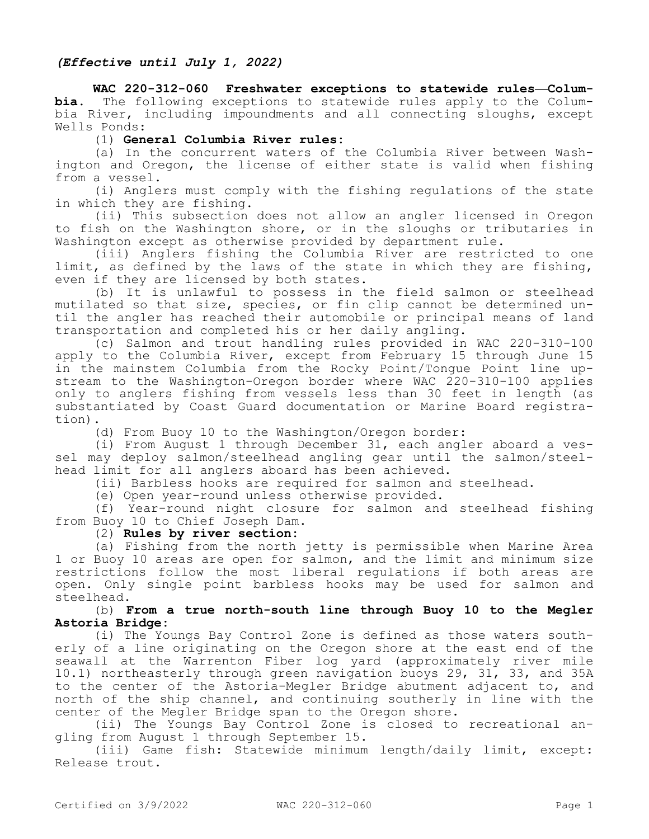# *(Effective until July 1, 2022)*

**WAC 220-312-060 Freshwater exceptions to statewide rules—Columbia.** The following exceptions to statewide rules apply to the Columbia River, including impoundments and all connecting sloughs, except Wells Ponds:

### (1) **General Columbia River rules:**

(a) In the concurrent waters of the Columbia River between Washington and Oregon, the license of either state is valid when fishing from a vessel.

(i) Anglers must comply with the fishing regulations of the state in which they are fishing.

(ii) This subsection does not allow an angler licensed in Oregon to fish on the Washington shore, or in the sloughs or tributaries in Washington except as otherwise provided by department rule.

(iii) Anglers fishing the Columbia River are restricted to one limit, as defined by the laws of the state in which they are fishing, even if they are licensed by both states.

(b) It is unlawful to possess in the field salmon or steelhead mutilated so that size, species, or fin clip cannot be determined until the angler has reached their automobile or principal means of land transportation and completed his or her daily angling.

(c) Salmon and trout handling rules provided in WAC 220-310-100 apply to the Columbia River, except from February 15 through June 15 in the mainstem Columbia from the Rocky Point/Tongue Point line upstream to the Washington-Oregon border where WAC 220-310-100 applies only to anglers fishing from vessels less than 30 feet in length (as substantiated by Coast Guard documentation or Marine Board registration).

(d) From Buoy 10 to the Washington/Oregon border:

(i) From August 1 through December 31, each angler aboard a vessel may deploy salmon/steelhead angling gear until the salmon/steelhead limit for all anglers aboard has been achieved.

(ii) Barbless hooks are required for salmon and steelhead.

(e) Open year-round unless otherwise provided.

(f) Year-round night closure for salmon and steelhead fishing from Buoy 10 to Chief Joseph Dam.

### (2) **Rules by river section:**

(a) Fishing from the north jetty is permissible when Marine Area 1 or Buoy 10 areas are open for salmon, and the limit and minimum size restrictions follow the most liberal regulations if both areas are open. Only single point barbless hooks may be used for salmon and steelhead.

### (b) **From a true north-south line through Buoy 10 to the Megler Astoria Bridge:**

(i) The Youngs Bay Control Zone is defined as those waters southerly of a line originating on the Oregon shore at the east end of the seawall at the Warrenton Fiber log yard (approximately river mile 10.1) northeasterly through green navigation buoys 29, 31, 33, and 35A to the center of the Astoria-Megler Bridge abutment adjacent to, and north of the ship channel, and continuing southerly in line with the center of the Megler Bridge span to the Oregon shore.

(ii) The Youngs Bay Control Zone is closed to recreational angling from August 1 through September 15.

(iii) Game fish: Statewide minimum length/daily limit, except: Release trout.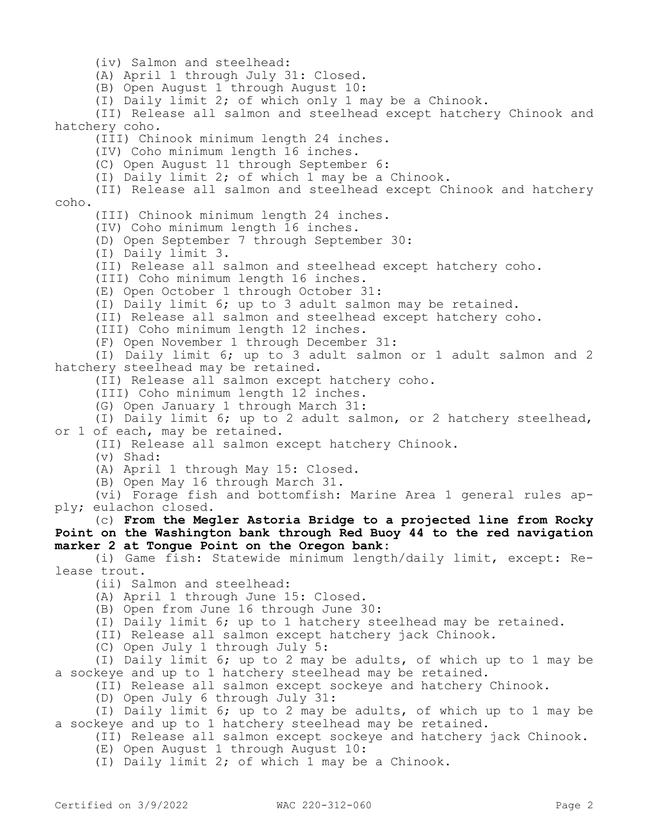(iv) Salmon and steelhead:

(A) April 1 through July 31: Closed.

(B) Open August 1 through August 10:

(I) Daily limit 2; of which only 1 may be a Chinook.

(II) Release all salmon and steelhead except hatchery Chinook and hatchery coho.

(III) Chinook minimum length 24 inches.

(IV) Coho minimum length 16 inches.

(C) Open August 11 through September 6:

(I) Daily limit 2; of which 1 may be a Chinook.

(II) Release all salmon and steelhead except Chinook and hatchery coho.

(III) Chinook minimum length 24 inches.

(IV) Coho minimum length 16 inches.

(D) Open September 7 through September 30:

(I) Daily limit 3.

(II) Release all salmon and steelhead except hatchery coho.

(III) Coho minimum length 16 inches.

(E) Open October 1 through October 31:

(I) Daily limit 6; up to 3 adult salmon may be retained.

(II) Release all salmon and steelhead except hatchery coho.

(III) Coho minimum length 12 inches.

(F) Open November 1 through December 31:

(I) Daily limit 6; up to 3 adult salmon or 1 adult salmon and 2 hatchery steelhead may be retained.

(II) Release all salmon except hatchery coho.

(III) Coho minimum length 12 inches.

(G) Open January 1 through March 31:

(I) Daily limit 6; up to 2 adult salmon, or 2 hatchery steelhead, or 1 of each, may be retained.

(II) Release all salmon except hatchery Chinook.

(v) Shad:

(A) April 1 through May 15: Closed.

(B) Open May 16 through March 31.

(vi) Forage fish and bottomfish: Marine Area 1 general rules apply; eulachon closed.

(c) **From the Megler Astoria Bridge to a projected line from Rocky Point on the Washington bank through Red Buoy 44 to the red navigation marker 2 at Tongue Point on the Oregon bank:**

(i) Game fish: Statewide minimum length/daily limit, except: Release trout.

(ii) Salmon and steelhead:

(A) April 1 through June 15: Closed.

(B) Open from June 16 through June 30:

(I) Daily limit 6; up to 1 hatchery steelhead may be retained.

(II) Release all salmon except hatchery jack Chinook.

(C) Open July 1 through July 5:

(I) Daily limit 6; up to 2 may be adults, of which up to 1 may be a sockeye and up to 1 hatchery steelhead may be retained.

(II) Release all salmon except sockeye and hatchery Chinook.

(D) Open July 6 through July 31:

(I) Daily limit 6; up to 2 may be adults, of which up to 1 may be a sockeye and up to 1 hatchery steelhead may be retained.

(II) Release all salmon except sockeye and hatchery jack Chinook.

(E) Open August 1 through August 10:

(I) Daily limit 2; of which 1 may be a Chinook.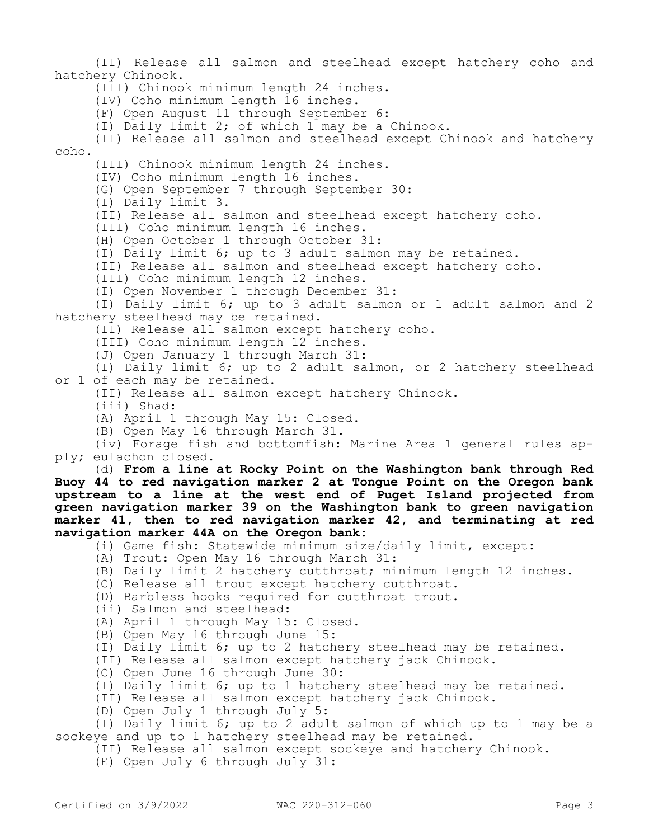(II) Release all salmon and steelhead except hatchery coho and hatchery Chinook. (III) Chinook minimum length 24 inches. (IV) Coho minimum length 16 inches. (F) Open August 11 through September 6: (I) Daily limit 2; of which 1 may be a Chinook. (II) Release all salmon and steelhead except Chinook and hatchery coho. (III) Chinook minimum length 24 inches. (IV) Coho minimum length 16 inches. (G) Open September 7 through September 30: (I) Daily limit 3. (II) Release all salmon and steelhead except hatchery coho. (III) Coho minimum length 16 inches. (H) Open October 1 through October 31: (I) Daily limit 6; up to 3 adult salmon may be retained. (II) Release all salmon and steelhead except hatchery coho. (III) Coho minimum length 12 inches. (I) Open November 1 through December 31: (I) Daily limit 6; up to 3 adult salmon or 1 adult salmon and 2 hatchery steelhead may be retained. (II) Release all salmon except hatchery coho. (III) Coho minimum length 12 inches. (J) Open January 1 through March 31: (I) Daily limit 6; up to 2 adult salmon, or 2 hatchery steelhead or 1 of each may be retained. (II) Release all salmon except hatchery Chinook. (iii) Shad: (A) April 1 through May 15: Closed. (B) Open May 16 through March 31. (iv) Forage fish and bottomfish: Marine Area 1 general rules apply; eulachon closed. (d) **From a line at Rocky Point on the Washington bank through Red Buoy 44 to red navigation marker 2 at Tongue Point on the Oregon bank upstream to a line at the west end of Puget Island projected from green navigation marker 39 on the Washington bank to green navigation marker 41, then to red navigation marker 42, and terminating at red navigation marker 44A on the Oregon bank:** (i) Game fish: Statewide minimum size/daily limit, except: (A) Trout: Open May 16 through March 31: (B) Daily limit 2 hatchery cutthroat; minimum length 12 inches. (C) Release all trout except hatchery cutthroat. (D) Barbless hooks required for cutthroat trout. (ii) Salmon and steelhead: (A) April 1 through May 15: Closed. (B) Open May 16 through June 15: (I) Daily limit 6; up to 2 hatchery steelhead may be retained. (II) Release all salmon except hatchery jack Chinook. (C) Open June 16 through June 30: (I) Daily limit 6; up to 1 hatchery steelhead may be retained. (II) Release all salmon except hatchery jack Chinook. (D) Open July 1 through July 5: (I) Daily limit 6; up to 2 adult salmon of which up to 1 may be a sockeye and up to 1 hatchery steelhead may be retained. (II) Release all salmon except sockeye and hatchery Chinook. (E) Open July 6 through July 31: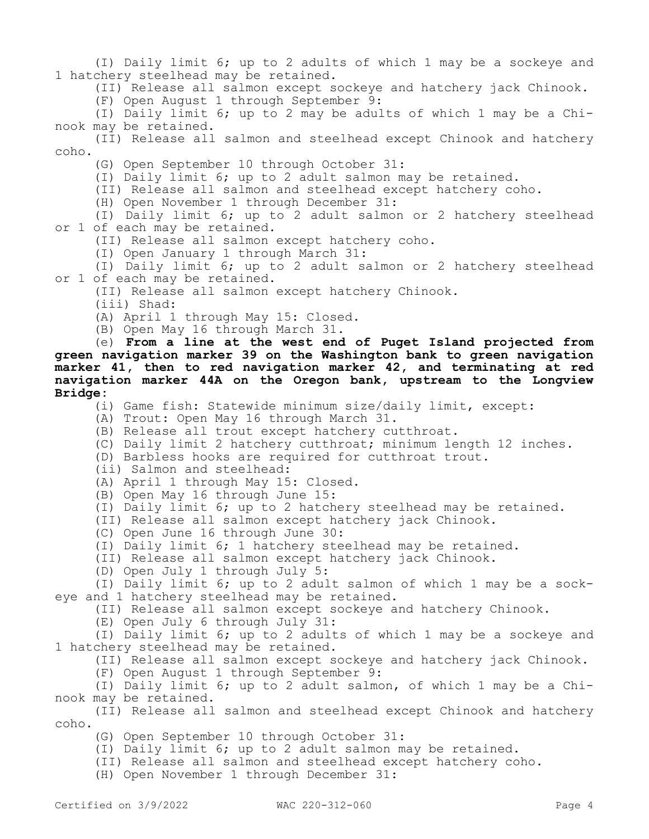(I) Daily limit 6; up to 2 adults of which 1 may be a sockeye and 1 hatchery steelhead may be retained.

(II) Release all salmon except sockeye and hatchery jack Chinook.

(F) Open August 1 through September 9:

(I) Daily limit 6; up to 2 may be adults of which 1 may be a Chinook may be retained.

(II) Release all salmon and steelhead except Chinook and hatchery coho.

(G) Open September 10 through October 31:

(I) Daily limit 6; up to 2 adult salmon may be retained.

(II) Release all salmon and steelhead except hatchery coho.

(H) Open November 1 through December 31:

(I) Daily limit 6; up to 2 adult salmon or 2 hatchery steelhead or 1 of each may be retained.

(II) Release all salmon except hatchery coho.

(I) Open January 1 through March 31:

(I) Daily limit 6; up to 2 adult salmon or 2 hatchery steelhead or 1 of each may be retained.

(II) Release all salmon except hatchery Chinook.

(iii) Shad:

(A) April 1 through May 15: Closed.

(B) Open May 16 through March 31.

(e) **From a line at the west end of Puget Island projected from green navigation marker 39 on the Washington bank to green navigation marker 41, then to red navigation marker 42, and terminating at red navigation marker 44A on the Oregon bank, upstream to the Longview Bridge:**

(i) Game fish: Statewide minimum size/daily limit, except:

(A) Trout: Open May 16 through March 31.

(B) Release all trout except hatchery cutthroat.

(C) Daily limit 2 hatchery cutthroat; minimum length 12 inches.

(D) Barbless hooks are required for cutthroat trout.

(ii) Salmon and steelhead:

(A) April 1 through May 15: Closed.

(B) Open May 16 through June 15:

(I) Daily limit 6; up to 2 hatchery steelhead may be retained.

(II) Release all salmon except hatchery jack Chinook.

(C) Open June 16 through June 30:

(I) Daily limit 6; 1 hatchery steelhead may be retained.

(II) Release all salmon except hatchery jack Chinook.

(D) Open July 1 through July 5:

(I) Daily limit 6; up to 2 adult salmon of which 1 may be a sockeye and 1 hatchery steelhead may be retained.

(II) Release all salmon except sockeye and hatchery Chinook.

(E) Open July 6 through July 31:

(I) Daily limit 6; up to 2 adults of which 1 may be a sockeye and 1 hatchery steelhead may be retained.

(II) Release all salmon except sockeye and hatchery jack Chinook.

(F) Open August 1 through September 9:

(I) Daily limit 6; up to 2 adult salmon, of which 1 may be a Chinook may be retained.

(II) Release all salmon and steelhead except Chinook and hatchery coho.

(G) Open September 10 through October 31:

(I) Daily limit 6; up to 2 adult salmon may be retained.

(II) Release all salmon and steelhead except hatchery coho.

(H) Open November 1 through December 31: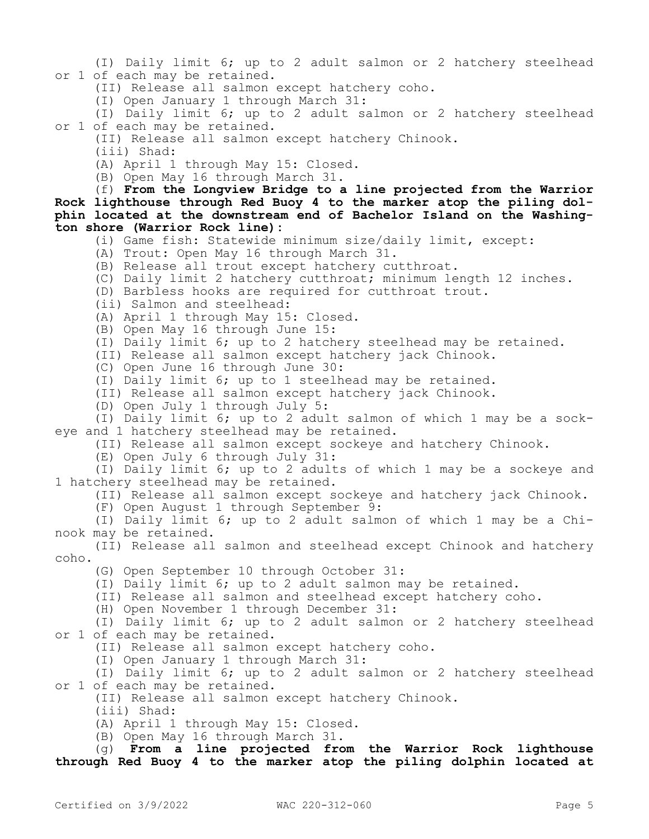(I) Daily limit 6; up to 2 adult salmon or 2 hatchery steelhead or 1 of each may be retained.

(II) Release all salmon except hatchery coho.

(I) Open January 1 through March 31:

(I) Daily limit 6; up to 2 adult salmon or 2 hatchery steelhead or 1 of each may be retained.

(II) Release all salmon except hatchery Chinook.

(iii) Shad:

(A) April 1 through May 15: Closed.

(B) Open May 16 through March 31.

(f) **From the Longview Bridge to a line projected from the Warrior Rock lighthouse through Red Buoy 4 to the marker atop the piling dolphin located at the downstream end of Bachelor Island on the Washington shore (Warrior Rock line):**

(i) Game fish: Statewide minimum size/daily limit, except:

(A) Trout: Open May 16 through March 31.

(B) Release all trout except hatchery cutthroat.

- (C) Daily limit 2 hatchery cutthroat; minimum length 12 inches.
- (D) Barbless hooks are required for cutthroat trout.
- (ii) Salmon and steelhead:
- (A) April 1 through May 15: Closed.
- (B) Open May 16 through June 15:

(I) Daily limit 6; up to 2 hatchery steelhead may be retained.

(II) Release all salmon except hatchery jack Chinook.

(C) Open June 16 through June 30:

(I) Daily limit 6; up to 1 steelhead may be retained.

(II) Release all salmon except hatchery jack Chinook.

(D) Open July 1 through July 5:

(I) Daily limit 6; up to 2 adult salmon of which 1 may be a sockeye and 1 hatchery steelhead may be retained.

(II) Release all salmon except sockeye and hatchery Chinook.

(E) Open July 6 through July 31:

(I) Daily limit 6; up to 2 adults of which 1 may be a sockeye and 1 hatchery steelhead may be retained.

(II) Release all salmon except sockeye and hatchery jack Chinook.

(F) Open August 1 through September 9:

(I) Daily limit 6; up to 2 adult salmon of which 1 may be a Chinook may be retained.

(II) Release all salmon and steelhead except Chinook and hatchery coho.

(G) Open September 10 through October 31:

(I) Daily limit 6; up to 2 adult salmon may be retained.

(II) Release all salmon and steelhead except hatchery coho.

(H) Open November 1 through December 31:

(I) Daily limit 6; up to 2 adult salmon or 2 hatchery steelhead or 1 of each may be retained.

(II) Release all salmon except hatchery coho.

(I) Open January 1 through March 31:

(I) Daily limit 6; up to 2 adult salmon or 2 hatchery steelhead or 1 of each may be retained.

(II) Release all salmon except hatchery Chinook.

(iii) Shad:

(A) April 1 through May 15: Closed.

(B) Open May 16 through March 31.

(g) **From a line projected from the Warrior Rock lighthouse through Red Buoy 4 to the marker atop the piling dolphin located at**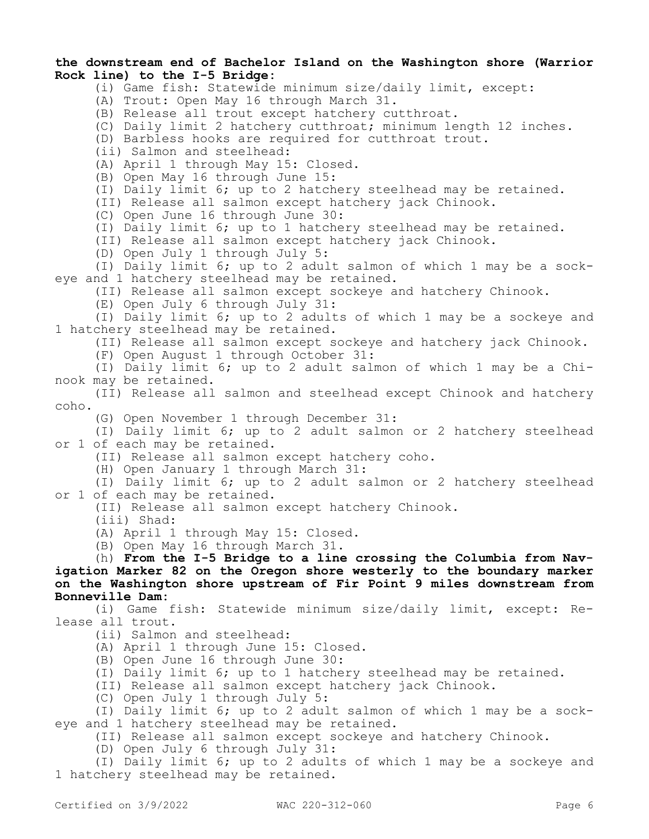### **the downstream end of Bachelor Island on the Washington shore (Warrior Rock line) to the I-5 Bridge:**

- (i) Game fish: Statewide minimum size/daily limit, except:
- (A) Trout: Open May 16 through March 31.
- (B) Release all trout except hatchery cutthroat.
- (C) Daily limit 2 hatchery cutthroat; minimum length 12 inches.

(D) Barbless hooks are required for cutthroat trout.

(ii) Salmon and steelhead:

- (A) April 1 through May 15: Closed.
- (B) Open May 16 through June 15:
- (I) Daily limit 6; up to 2 hatchery steelhead may be retained.

(II) Release all salmon except hatchery jack Chinook.

(C) Open June 16 through June 30:

(I) Daily limit 6; up to 1 hatchery steelhead may be retained.

(II) Release all salmon except hatchery jack Chinook.

(D) Open July 1 through July 5:

(I) Daily limit 6; up to 2 adult salmon of which 1 may be a sockeye and 1 hatchery steelhead may be retained.

(II) Release all salmon except sockeye and hatchery Chinook.

(E) Open July 6 through July 31:

(I) Daily limit 6; up to 2 adults of which 1 may be a sockeye and 1 hatchery steelhead may be retained.

(II) Release all salmon except sockeye and hatchery jack Chinook.

(F) Open August 1 through October 31:

(I) Daily limit 6; up to 2 adult salmon of which 1 may be a Chinook may be retained.

(II) Release all salmon and steelhead except Chinook and hatchery coho.

(G) Open November 1 through December 31:

(I) Daily limit 6; up to 2 adult salmon or 2 hatchery steelhead or 1 of each may be retained.

(II) Release all salmon except hatchery coho.

(H) Open January 1 through March 31:

(I) Daily limit 6; up to 2 adult salmon or 2 hatchery steelhead or 1 of each may be retained.

(II) Release all salmon except hatchery Chinook.

(iii) Shad:

(A) April 1 through May 15: Closed.

(B) Open May 16 through March 31.

(h) **From the I-5 Bridge to a line crossing the Columbia from Navigation Marker 82 on the Oregon shore westerly to the boundary marker on the Washington shore upstream of Fir Point 9 miles downstream from Bonneville Dam:**

(i) Game fish: Statewide minimum size/daily limit, except: Release all trout.

(ii) Salmon and steelhead:

(A) April 1 through June 15: Closed.

(B) Open June 16 through June 30:

(I) Daily limit 6; up to 1 hatchery steelhead may be retained.

(II) Release all salmon except hatchery jack Chinook.

(C) Open July 1 through July 5:

(I) Daily limit 6; up to 2 adult salmon of which 1 may be a sockeye and 1 hatchery steelhead may be retained.

(II) Release all salmon except sockeye and hatchery Chinook.

(D) Open July 6 through July 31:

(I) Daily limit 6; up to 2 adults of which 1 may be a sockeye and 1 hatchery steelhead may be retained.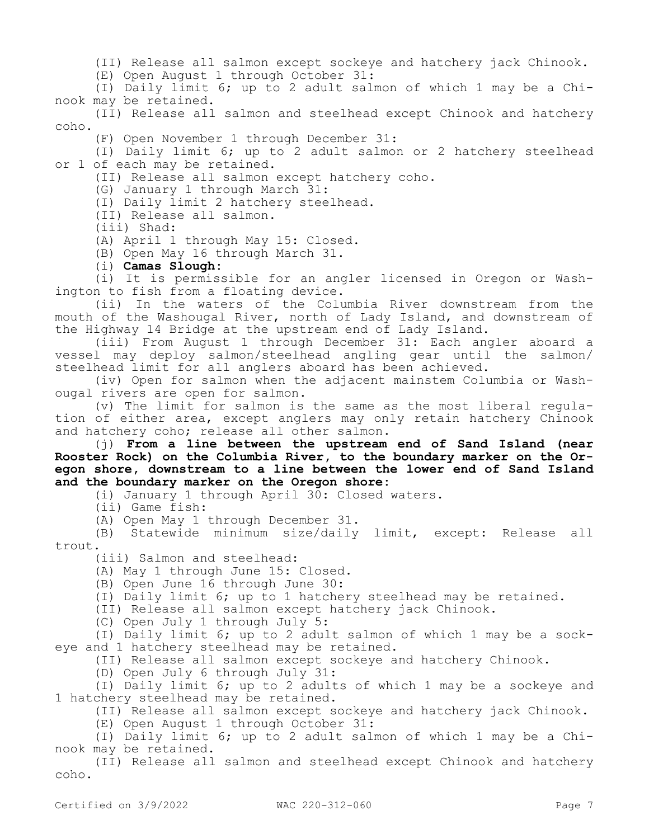(II) Release all salmon except sockeye and hatchery jack Chinook.

(E) Open August 1 through October 31:

(I) Daily limit 6; up to 2 adult salmon of which 1 may be a Chinook may be retained.

(II) Release all salmon and steelhead except Chinook and hatchery coho.

(F) Open November 1 through December 31:

(I) Daily limit 6; up to 2 adult salmon or 2 hatchery steelhead or 1 of each may be retained.

(II) Release all salmon except hatchery coho.

(G) January 1 through March 31:

(I) Daily limit 2 hatchery steelhead.

(II) Release all salmon.

(iii) Shad:

(A) April 1 through May 15: Closed.

(B) Open May 16 through March 31.

(i) **Camas Slough:**

(i) It is permissible for an angler licensed in Oregon or Washington to fish from a floating device.

(ii) In the waters of the Columbia River downstream from the mouth of the Washougal River, north of Lady Island, and downstream of the Highway 14 Bridge at the upstream end of Lady Island.

(iii) From August 1 through December 31: Each angler aboard a vessel may deploy salmon/steelhead angling gear until the salmon/ steelhead limit for all anglers aboard has been achieved.

(iv) Open for salmon when the adjacent mainstem Columbia or Washougal rivers are open for salmon.

(v) The limit for salmon is the same as the most liberal regulation of either area, except anglers may only retain hatchery Chinook and hatchery coho; release all other salmon.

(j) **From a line between the upstream end of Sand Island (near Rooster Rock) on the Columbia River, to the boundary marker on the Oregon shore, downstream to a line between the lower end of Sand Island and the boundary marker on the Oregon shore:**

(i) January 1 through April 30: Closed waters.

(ii) Game fish:

(A) Open May 1 through December 31.

(B) Statewide minimum size/daily limit, except: Release all trout.

(iii) Salmon and steelhead:

(A) May 1 through June 15: Closed.

(B) Open June 16 through June 30:

(I) Daily limit 6; up to 1 hatchery steelhead may be retained.

(II) Release all salmon except hatchery jack Chinook.

(C) Open July 1 through July 5:

(I) Daily limit 6; up to 2 adult salmon of which 1 may be a sockeye and 1 hatchery steelhead may be retained.

(II) Release all salmon except sockeye and hatchery Chinook.

(D) Open July 6 through July 31:

(I) Daily limit 6; up to 2 adults of which 1 may be a sockeye and 1 hatchery steelhead may be retained.

(II) Release all salmon except sockeye and hatchery jack Chinook.

(E) Open August 1 through October 31:

(I) Daily limit 6; up to 2 adult salmon of which 1 may be a Chinook may be retained.

(II) Release all salmon and steelhead except Chinook and hatchery coho.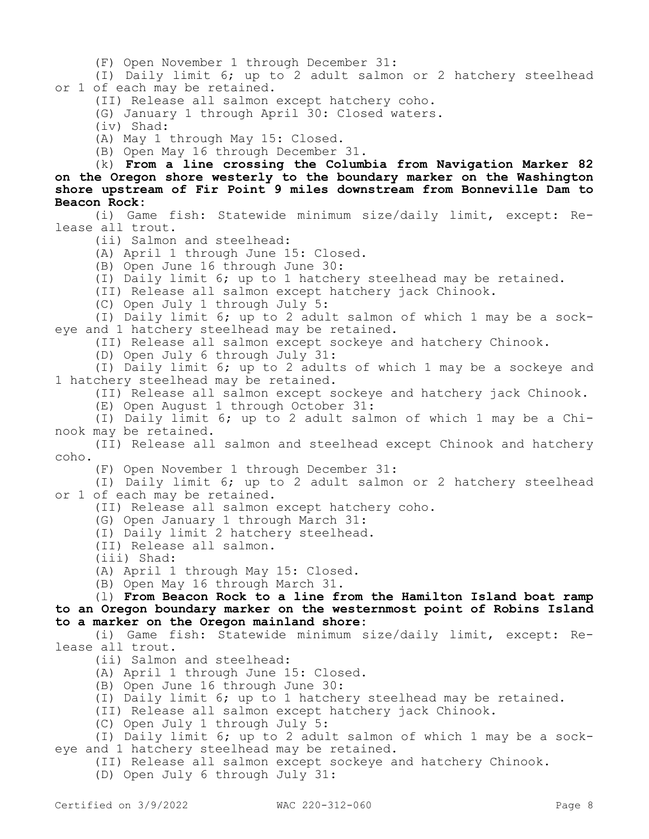(F) Open November 1 through December 31:

(I) Daily limit 6; up to 2 adult salmon or 2 hatchery steelhead or 1 of each may be retained.

(II) Release all salmon except hatchery coho.

(G) January 1 through April 30: Closed waters.

(iv) Shad:

(A) May 1 through May 15: Closed.

(B) Open May 16 through December 31.

(k) **From a line crossing the Columbia from Navigation Marker 82 on the Oregon shore westerly to the boundary marker on the Washington shore upstream of Fir Point 9 miles downstream from Bonneville Dam to Beacon Rock:**

(i) Game fish: Statewide minimum size/daily limit, except: Release all trout.

(ii) Salmon and steelhead:

(A) April 1 through June 15: Closed.

(B) Open June 16 through June 30:

(I) Daily limit 6; up to 1 hatchery steelhead may be retained.

(II) Release all salmon except hatchery jack Chinook.

(C) Open July 1 through July 5:

(I) Daily limit 6; up to 2 adult salmon of which 1 may be a sockeye and 1 hatchery steelhead may be retained.

(II) Release all salmon except sockeye and hatchery Chinook.

(D) Open July 6 through July 31:

(I) Daily limit 6; up to 2 adults of which 1 may be a sockeye and 1 hatchery steelhead may be retained.

(II) Release all salmon except sockeye and hatchery jack Chinook.

(E) Open August 1 through October 31:

(I) Daily limit 6; up to 2 adult salmon of which 1 may be a Chinook may be retained.

(II) Release all salmon and steelhead except Chinook and hatchery coho.

(F) Open November 1 through December 31:

(I) Daily limit 6; up to 2 adult salmon or 2 hatchery steelhead or 1 of each may be retained.

(II) Release all salmon except hatchery coho.

(G) Open January 1 through March 31:

(I) Daily limit 2 hatchery steelhead.

(II) Release all salmon.

(iii) Shad:

(A) April 1 through May 15: Closed.

(B) Open May 16 through March 31.

(l) **From Beacon Rock to a line from the Hamilton Island boat ramp to an Oregon boundary marker on the westernmost point of Robins Island to a marker on the Oregon mainland shore:**

(i) Game fish: Statewide minimum size/daily limit, except: Release all trout.

(ii) Salmon and steelhead:

(A) April 1 through June 15: Closed.

(B) Open June 16 through June 30:

(I) Daily limit 6; up to 1 hatchery steelhead may be retained.

(II) Release all salmon except hatchery jack Chinook.

(C) Open July 1 through July 5:

(I) Daily limit 6; up to 2 adult salmon of which 1 may be a sockeye and 1 hatchery steelhead may be retained.

(II) Release all salmon except sockeye and hatchery Chinook.

(D) Open July 6 through July 31: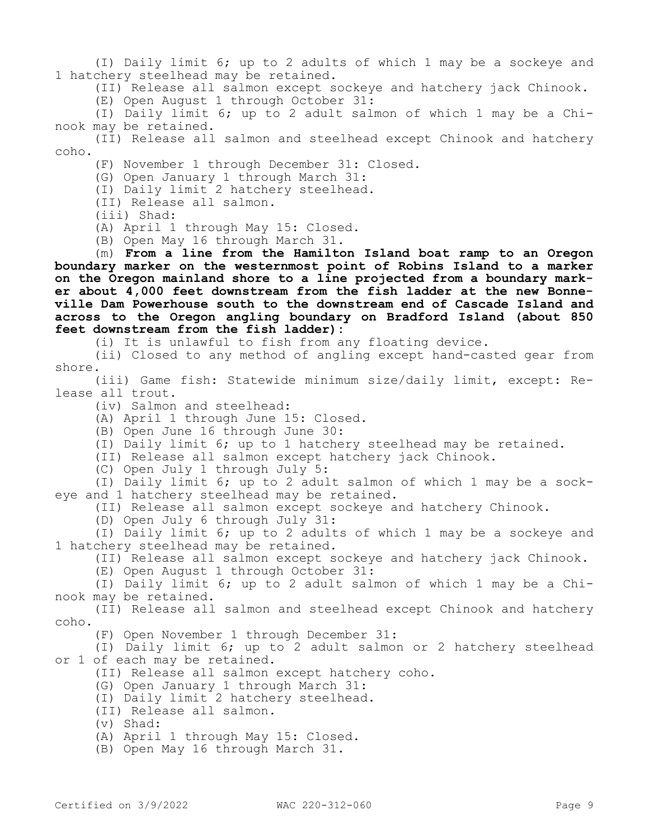(I) Daily limit 6; up to 2 adults of which 1 may be a sockeye and 1 hatchery steelhead may be retained.

(II) Release all salmon except sockeye and hatchery jack Chinook.

(E) Open August 1 through October 31:

(I) Daily limit 6; up to 2 adult salmon of which 1 may be a Chinook may be retained.

(II) Release all salmon and steelhead except Chinook and hatchery coho.

(F) November 1 through December 31: Closed.

(G) Open January 1 through March 31:

(I) Daily limit 2 hatchery steelhead.

(II) Release all salmon.

(iii) Shad:

(A) April 1 through May 15: Closed.

(B) Open May 16 through March 31.

(m) **From a line from the Hamilton Island boat ramp to an Oregon boundary marker on the westernmost point of Robins Island to a marker on the Oregon mainland shore to a line projected from a boundary marker about 4,000 feet downstream from the fish ladder at the new Bonneville Dam Powerhouse south to the downstream end of Cascade Island and across to the Oregon angling boundary on Bradford Island (about 850 feet downstream from the fish ladder):**

(i) It is unlawful to fish from any floating device.

(ii) Closed to any method of angling except hand-casted gear from shore.

(iii) Game fish: Statewide minimum size/daily limit, except: Release all trout.

(iv) Salmon and steelhead:

(A) April 1 through June 15: Closed.

(B) Open June 16 through June 30:

(I) Daily limit 6; up to 1 hatchery steelhead may be retained.

(II) Release all salmon except hatchery jack Chinook.

(C) Open July 1 through July 5:

(I) Daily limit 6; up to 2 adult salmon of which 1 may be a sockeye and 1 hatchery steelhead may be retained.

(II) Release all salmon except sockeye and hatchery Chinook.

(D) Open July 6 through July 31:

(I) Daily limit 6; up to 2 adults of which 1 may be a sockeye and 1 hatchery steelhead may be retained.

(II) Release all salmon except sockeye and hatchery jack Chinook.

(E) Open August 1 through October 31:

(I) Daily limit 6; up to 2 adult salmon of which 1 may be a Chinook may be retained.

(II) Release all salmon and steelhead except Chinook and hatchery coho.

(F) Open November 1 through December 31:

(I) Daily limit 6; up to 2 adult salmon or 2 hatchery steelhead or 1 of each may be retained.

(II) Release all salmon except hatchery coho.

(G) Open January 1 through March 31:

(I) Daily limit 2 hatchery steelhead.

(II) Release all salmon.

(v) Shad:

(A) April 1 through May 15: Closed.

(B) Open May 16 through March 31.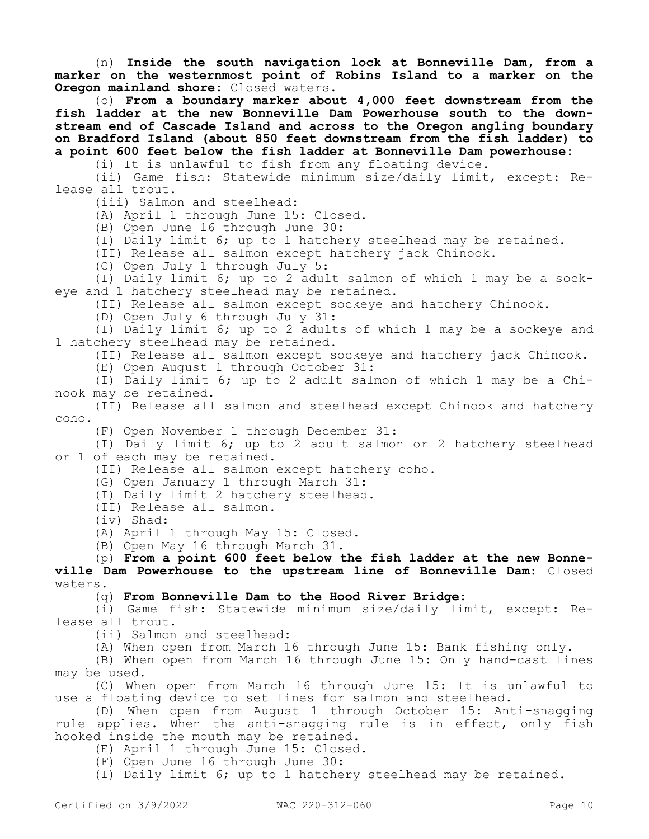(n) **Inside the south navigation lock at Bonneville Dam, from a marker on the westernmost point of Robins Island to a marker on the Oregon mainland shore:** Closed waters.

(o) **From a boundary marker about 4,000 feet downstream from the fish ladder at the new Bonneville Dam Powerhouse south to the downstream end of Cascade Island and across to the Oregon angling boundary on Bradford Island (about 850 feet downstream from the fish ladder) to a point 600 feet below the fish ladder at Bonneville Dam powerhouse:**

(i) It is unlawful to fish from any floating device.

(ii) Game fish: Statewide minimum size/daily limit, except: Release all trout.

(iii) Salmon and steelhead:

(A) April 1 through June 15: Closed.

(B) Open June 16 through June 30:

(I) Daily limit 6; up to 1 hatchery steelhead may be retained.

(II) Release all salmon except hatchery jack Chinook.

(C) Open July 1 through July 5:

(I) Daily limit 6; up to 2 adult salmon of which 1 may be a sockeye and 1 hatchery steelhead may be retained.

(II) Release all salmon except sockeye and hatchery Chinook.

(D) Open July 6 through July 31:

(I) Daily limit 6; up to 2 adults of which 1 may be a sockeye and 1 hatchery steelhead may be retained.

(II) Release all salmon except sockeye and hatchery jack Chinook.

(E) Open August 1 through October 31:

(I) Daily limit 6; up to 2 adult salmon of which 1 may be a Chinook may be retained.

(II) Release all salmon and steelhead except Chinook and hatchery coho.

(F) Open November 1 through December 31:

(I) Daily limit 6; up to 2 adult salmon or 2 hatchery steelhead or 1 of each may be retained.

(II) Release all salmon except hatchery coho.

(G) Open January 1 through March 31:

(I) Daily limit 2 hatchery steelhead.

(II) Release all salmon.

(iv) Shad:

(A) April 1 through May 15: Closed.

(B) Open May 16 through March 31.

(p) **From a point 600 feet below the fish ladder at the new Bonneville Dam Powerhouse to the upstream line of Bonneville Dam:** Closed waters.

(q) **From Bonneville Dam to the Hood River Bridge:**

(i) Game fish: Statewide minimum size/daily limit, except: Release all trout.

(ii) Salmon and steelhead:

(A) When open from March 16 through June 15: Bank fishing only.

(B) When open from March 16 through June 15: Only hand-cast lines may be used.

(C) When open from March 16 through June 15: It is unlawful to use a floating device to set lines for salmon and steelhead.

(D) When open from August 1 through October 15: Anti-snagging rule applies. When the anti-snagging rule is in effect, only fish hooked inside the mouth may be retained.

- (E) April 1 through June 15: Closed.
- (F) Open June 16 through June 30:

(I) Daily limit 6; up to 1 hatchery steelhead may be retained.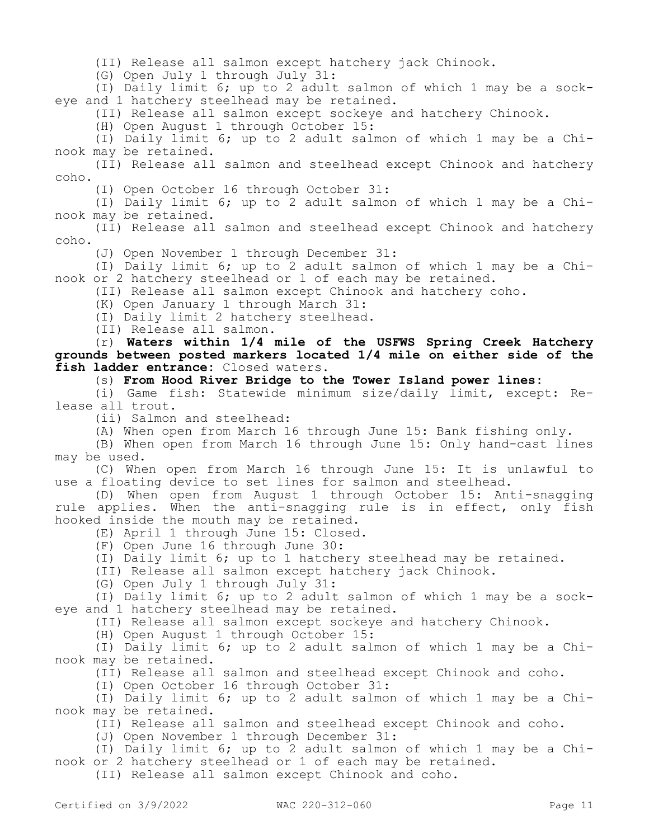(II) Release all salmon except hatchery jack Chinook.

(G) Open July 1 through July 31:

(I) Daily limit 6; up to 2 adult salmon of which 1 may be a sockeye and 1 hatchery steelhead may be retained.

(II) Release all salmon except sockeye and hatchery Chinook.

(H) Open August 1 through October 15:

(I) Daily limit 6; up to 2 adult salmon of which 1 may be a Chinook may be retained.

(II) Release all salmon and steelhead except Chinook and hatchery coho.

(I) Open October 16 through October 31:

(I) Daily limit 6; up to 2 adult salmon of which 1 may be a Chinook may be retained.

(II) Release all salmon and steelhead except Chinook and hatchery coho.

(J) Open November 1 through December 31:

(I) Daily limit 6; up to 2 adult salmon of which 1 may be a Chinook or 2 hatchery steelhead or 1 of each may be retained.

(II) Release all salmon except Chinook and hatchery coho.

(K) Open January 1 through March 31:

(I) Daily limit 2 hatchery steelhead.

(II) Release all salmon.

(r) **Waters within 1/4 mile of the USFWS Spring Creek Hatchery grounds between posted markers located 1/4 mile on either side of the fish ladder entrance:** Closed waters.

(s) **From Hood River Bridge to the Tower Island power lines:**

(i) Game fish: Statewide minimum size/daily limit, except: Release all trout.

(ii) Salmon and steelhead:

(A) When open from March 16 through June 15: Bank fishing only.

(B) When open from March 16 through June 15: Only hand-cast lines may be used.

(C) When open from March 16 through June 15: It is unlawful to use a floating device to set lines for salmon and steelhead.

(D) When open from August 1 through October 15: Anti-snagging rule applies. When the anti-snagging rule is in effect, only fish hooked inside the mouth may be retained.

(E) April 1 through June 15: Closed.

(F) Open June 16 through June 30:

(I) Daily limit 6; up to 1 hatchery steelhead may be retained.

(II) Release all salmon except hatchery jack Chinook.

(G) Open July 1 through July 31:

(I) Daily limit 6; up to 2 adult salmon of which 1 may be a sockeye and 1 hatchery steelhead may be retained.

(II) Release all salmon except sockeye and hatchery Chinook.

(H) Open August 1 through October 15:

(I) Daily limit 6; up to 2 adult salmon of which 1 may be a Chinook may be retained.

(II) Release all salmon and steelhead except Chinook and coho.

(I) Open October 16 through October 31:

(I) Daily limit 6; up to 2 adult salmon of which 1 may be a Chinook may be retained.

(II) Release all salmon and steelhead except Chinook and coho.

(J) Open November 1 through December 31:

(I) Daily limit 6; up to 2 adult salmon of which 1 may be a Chinook or 2 hatchery steelhead or 1 of each may be retained.

(II) Release all salmon except Chinook and coho.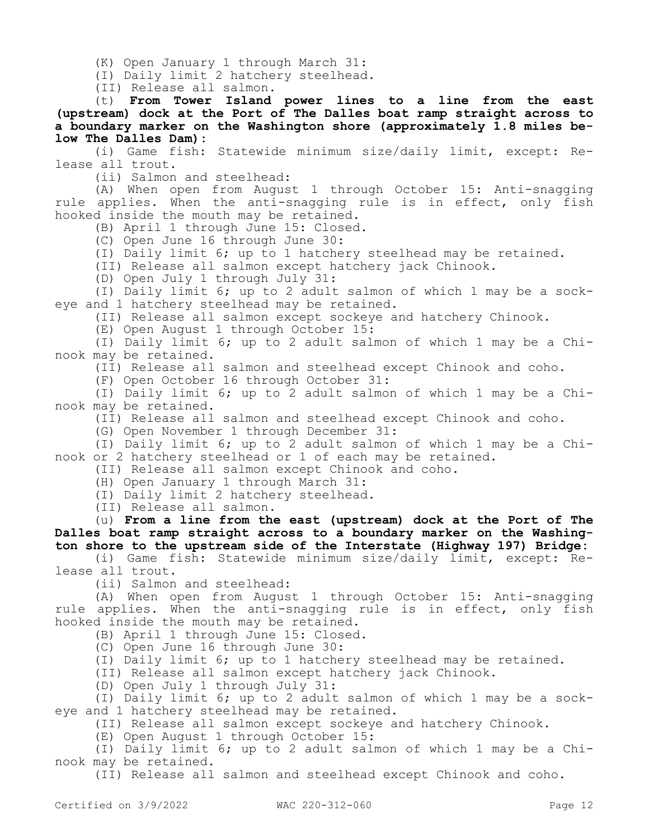(K) Open January 1 through March 31:

(I) Daily limit 2 hatchery steelhead.

(II) Release all salmon.

(t) **From Tower Island power lines to a line from the east (upstream) dock at the Port of The Dalles boat ramp straight across to a boundary marker on the Washington shore (approximately 1.8 miles below The Dalles Dam):**

(i) Game fish: Statewide minimum size/daily limit, except: Release all trout.

(ii) Salmon and steelhead:

(A) When open from August 1 through October 15: Anti-snagging rule applies. When the anti-snagging rule is in effect, only fish hooked inside the mouth may be retained.

(B) April 1 through June 15: Closed.

(C) Open June 16 through June 30:

(I) Daily limit 6; up to 1 hatchery steelhead may be retained.

(II) Release all salmon except hatchery jack Chinook.

(D) Open July 1 through July 31:

(I) Daily limit 6; up to 2 adult salmon of which 1 may be a sockeye and 1 hatchery steelhead may be retained.

(II) Release all salmon except sockeye and hatchery Chinook.

(E) Open August 1 through October 15:

(I) Daily limit 6; up to 2 adult salmon of which 1 may be a Chinook may be retained.

(II) Release all salmon and steelhead except Chinook and coho.

(F) Open October 16 through October 31:

(I) Daily limit 6; up to 2 adult salmon of which 1 may be a Chinook may be retained.

(II) Release all salmon and steelhead except Chinook and coho.

(G) Open November 1 through December 31:

(I) Daily limit 6; up to 2 adult salmon of which 1 may be a Chinook or 2 hatchery steelhead or 1 of each may be retained.

(II) Release all salmon except Chinook and coho.

(H) Open January 1 through March 31:

(I) Daily limit 2 hatchery steelhead.

(II) Release all salmon.

(u) **From a line from the east (upstream) dock at the Port of The Dalles boat ramp straight across to a boundary marker on the Washington shore to the upstream side of the Interstate (Highway 197) Bridge:**

(i) Game fish: Statewide minimum size/daily limit, except: Release all trout.

(ii) Salmon and steelhead:

(A) When open from August 1 through October 15: Anti-snagging rule applies. When the anti-snagging rule is in effect, only fish hooked inside the mouth may be retained.

(B) April 1 through June 15: Closed.

(C) Open June 16 through June 30:

(I) Daily limit 6; up to 1 hatchery steelhead may be retained.

(II) Release all salmon except hatchery jack Chinook.

(D) Open July 1 through July 31:

(I) Daily limit 6; up to 2 adult salmon of which 1 may be a sockeye and 1 hatchery steelhead may be retained.

(II) Release all salmon except sockeye and hatchery Chinook.

(E) Open August 1 through October 15:

(I) Daily limit 6; up to 2 adult salmon of which 1 may be a Chinook may be retained.

(II) Release all salmon and steelhead except Chinook and coho.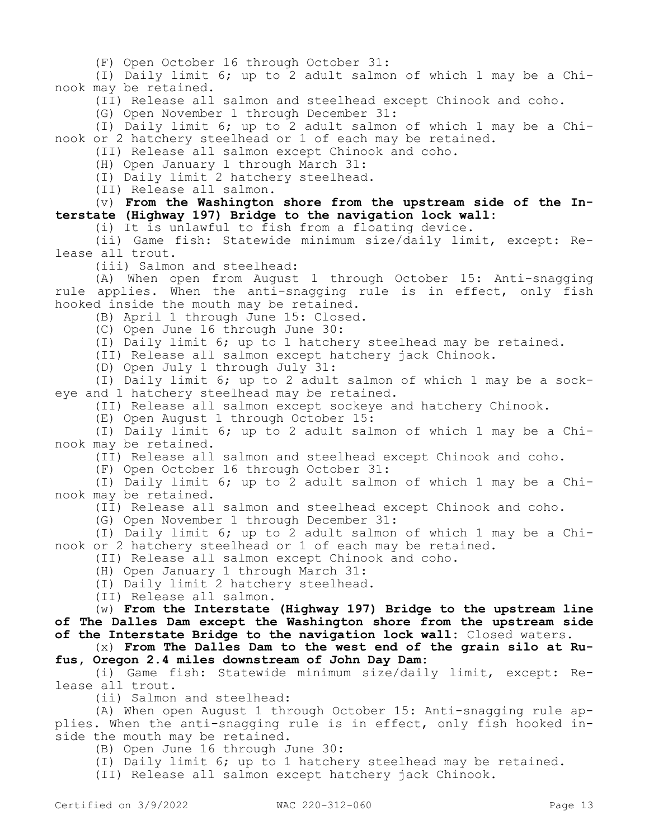(F) Open October 16 through October 31:

(I) Daily limit 6; up to 2 adult salmon of which 1 may be a Chinook may be retained.

(II) Release all salmon and steelhead except Chinook and coho.

(G) Open November 1 through December 31:

(I) Daily limit 6; up to 2 adult salmon of which 1 may be a Chinook or 2 hatchery steelhead or 1 of each may be retained.

(II) Release all salmon except Chinook and coho.

(H) Open January 1 through March 31:

(I) Daily limit 2 hatchery steelhead.

(II) Release all salmon.

(v) **From the Washington shore from the upstream side of the Interstate (Highway 197) Bridge to the navigation lock wall:**

(i) It is unlawful to fish from a floating device.

(ii) Game fish: Statewide minimum size/daily limit, except: Release all trout.

(iii) Salmon and steelhead:

(A) When open from August 1 through October 15: Anti-snagging rule applies. When the anti-snagging rule is in effect, only fish hooked inside the mouth may be retained.

(B) April 1 through June 15: Closed.

(C) Open June 16 through June 30:

(I) Daily limit 6; up to 1 hatchery steelhead may be retained.

(II) Release all salmon except hatchery jack Chinook.

(D) Open July 1 through July 31:

(I) Daily limit 6; up to 2 adult salmon of which 1 may be a sockeye and 1 hatchery steelhead may be retained.

(II) Release all salmon except sockeye and hatchery Chinook.

(E) Open August 1 through October 15:

(I) Daily limit 6; up to 2 adult salmon of which 1 may be a Chinook may be retained.

(II) Release all salmon and steelhead except Chinook and coho.

(F) Open October 16 through October 31:

(I) Daily limit 6; up to 2 adult salmon of which 1 may be a Chinook may be retained.

(II) Release all salmon and steelhead except Chinook and coho.

(G) Open November 1 through December 31:

(I) Daily limit 6; up to 2 adult salmon of which 1 may be a Chinook or 2 hatchery steelhead or 1 of each may be retained.

(II) Release all salmon except Chinook and coho.

(H) Open January 1 through March 31:

(I) Daily limit 2 hatchery steelhead.

(II) Release all salmon.

(w) **From the Interstate (Highway 197) Bridge to the upstream line of The Dalles Dam except the Washington shore from the upstream side of the Interstate Bridge to the navigation lock wall:** Closed waters.

(x) **From The Dalles Dam to the west end of the grain silo at Rufus, Oregon 2.4 miles downstream of John Day Dam:**

(i) Game fish: Statewide minimum size/daily limit, except: Release all trout.

(ii) Salmon and steelhead:

(A) When open August 1 through October 15: Anti-snagging rule applies. When the anti-snagging rule is in effect, only fish hooked inside the mouth may be retained.

(B) Open June 16 through June 30:

(I) Daily limit 6; up to 1 hatchery steelhead may be retained.

(II) Release all salmon except hatchery jack Chinook.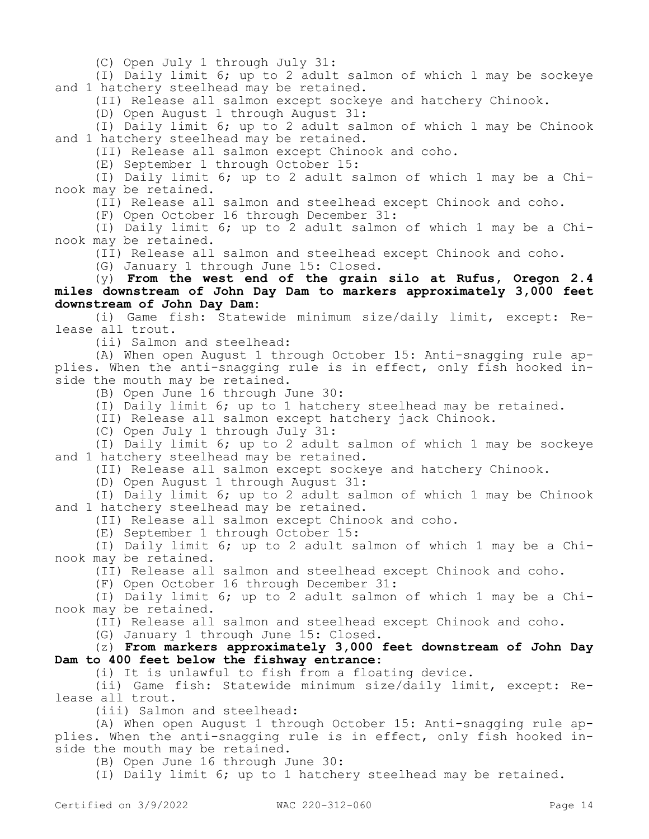(C) Open July 1 through July 31:

(I) Daily limit 6; up to 2 adult salmon of which 1 may be sockeye and 1 hatchery steelhead may be retained.

(II) Release all salmon except sockeye and hatchery Chinook.

(D) Open August 1 through August 31:

(I) Daily limit 6; up to 2 adult salmon of which 1 may be Chinook and 1 hatchery steelhead may be retained.

(II) Release all salmon except Chinook and coho.

(E) September 1 through October 15:

(I) Daily limit 6; up to 2 adult salmon of which 1 may be a Chinook may be retained.

(II) Release all salmon and steelhead except Chinook and coho.

(F) Open October 16 through December 31:

(I) Daily limit 6; up to 2 adult salmon of which 1 may be a Chinook may be retained.

(II) Release all salmon and steelhead except Chinook and coho.

(G) January 1 through June 15: Closed.

### (y) **From the west end of the grain silo at Rufus, Oregon 2.4 miles downstream of John Day Dam to markers approximately 3,000 feet downstream of John Day Dam:**

(i) Game fish: Statewide minimum size/daily limit, except: Release all trout.

(ii) Salmon and steelhead:

(A) When open August 1 through October 15: Anti-snagging rule applies. When the anti-snagging rule is in effect, only fish hooked inside the mouth may be retained.

(B) Open June 16 through June 30:

(I) Daily limit 6; up to 1 hatchery steelhead may be retained.

(II) Release all salmon except hatchery jack Chinook.

(C) Open July 1 through July 31:

(I) Daily limit 6; up to 2 adult salmon of which 1 may be sockeye and 1 hatchery steelhead may be retained.

(II) Release all salmon except sockeye and hatchery Chinook.

(D) Open August 1 through August 31:

(I) Daily limit 6; up to 2 adult salmon of which 1 may be Chinook and 1 hatchery steelhead may be retained.

(II) Release all salmon except Chinook and coho.

(E) September 1 through October 15:

(I) Daily limit 6; up to 2 adult salmon of which 1 may be a Chinook may be retained.

(II) Release all salmon and steelhead except Chinook and coho.

(F) Open October 16 through December 31:

(I) Daily limit 6; up to 2 adult salmon of which 1 may be a Chinook may be retained.

(II) Release all salmon and steelhead except Chinook and coho.

(G) January 1 through June 15: Closed.

(z) **From markers approximately 3,000 feet downstream of John Day Dam to 400 feet below the fishway entrance:**

(i) It is unlawful to fish from a floating device.

(ii) Game fish: Statewide minimum size/daily limit, except: Release all trout.

(iii) Salmon and steelhead:

(A) When open August 1 through October 15: Anti-snagging rule applies. When the anti-snagging rule is in effect, only fish hooked inside the mouth may be retained.

(B) Open June 16 through June 30:

(I) Daily limit 6; up to 1 hatchery steelhead may be retained.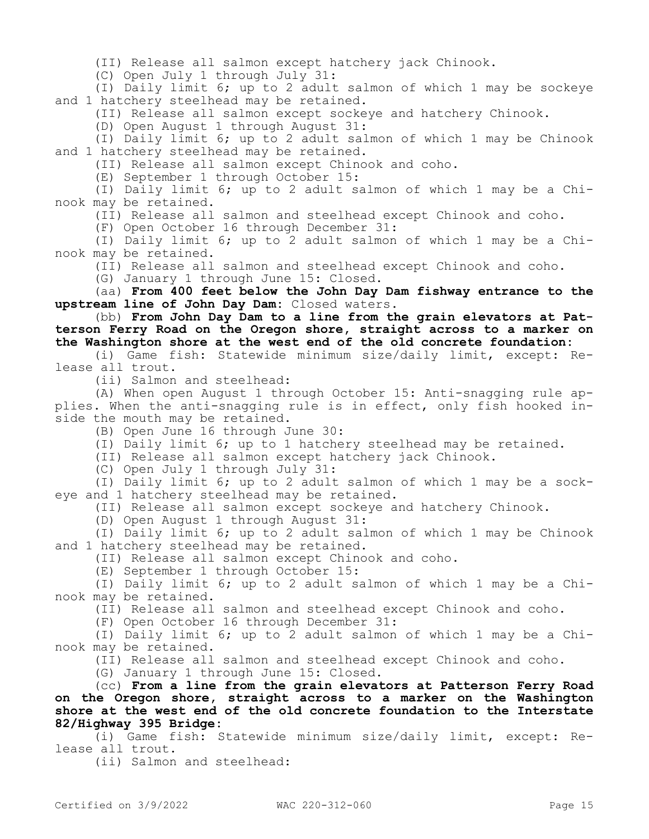(II) Release all salmon except hatchery jack Chinook.

(C) Open July 1 through July 31:

(I) Daily limit 6; up to 2 adult salmon of which 1 may be sockeye and 1 hatchery steelhead may be retained.

(II) Release all salmon except sockeye and hatchery Chinook.

(D) Open August 1 through August 31:

(I) Daily limit 6; up to 2 adult salmon of which 1 may be Chinook and 1 hatchery steelhead may be retained.

(II) Release all salmon except Chinook and coho.

(E) September 1 through October 15:

(I) Daily limit 6; up to 2 adult salmon of which 1 may be a Chinook may be retained.

(II) Release all salmon and steelhead except Chinook and coho.

(F) Open October 16 through December 31:

(I) Daily limit 6; up to 2 adult salmon of which 1 may be a Chinook may be retained.

(II) Release all salmon and steelhead except Chinook and coho.

(G) January 1 through June 15: Closed.

(aa) **From 400 feet below the John Day Dam fishway entrance to the upstream line of John Day Dam:** Closed waters.

(bb) **From John Day Dam to a line from the grain elevators at Patterson Ferry Road on the Oregon shore, straight across to a marker on the Washington shore at the west end of the old concrete foundation:**

(i) Game fish: Statewide minimum size/daily limit, except: Release all trout.

(ii) Salmon and steelhead:

(A) When open August 1 through October 15: Anti-snagging rule applies. When the anti-snagging rule is in effect, only fish hooked inside the mouth may be retained.

(B) Open June 16 through June 30:

(I) Daily limit 6; up to 1 hatchery steelhead may be retained.

(II) Release all salmon except hatchery jack Chinook.

(C) Open July 1 through July 31:

(I) Daily limit 6; up to 2 adult salmon of which 1 may be a sockeye and 1 hatchery steelhead may be retained.

(II) Release all salmon except sockeye and hatchery Chinook.

(D) Open August 1 through August 31:

(I) Daily limit 6; up to 2 adult salmon of which 1 may be Chinook and 1 hatchery steelhead may be retained.

(II) Release all salmon except Chinook and coho.

(E) September 1 through October 15:

(I) Daily limit 6; up to 2 adult salmon of which 1 may be a Chinook may be retained.

(II) Release all salmon and steelhead except Chinook and coho.

(F) Open October 16 through December 31:

(I) Daily limit 6; up to 2 adult salmon of which 1 may be a Chinook may be retained.

(II) Release all salmon and steelhead except Chinook and coho.

(G) January 1 through June 15: Closed.

(cc) **From a line from the grain elevators at Patterson Ferry Road on the Oregon shore, straight across to a marker on the Washington shore at the west end of the old concrete foundation to the Interstate 82/Highway 395 Bridge:**

(i) Game fish: Statewide minimum size/daily limit, except: Release all trout.

(ii) Salmon and steelhead: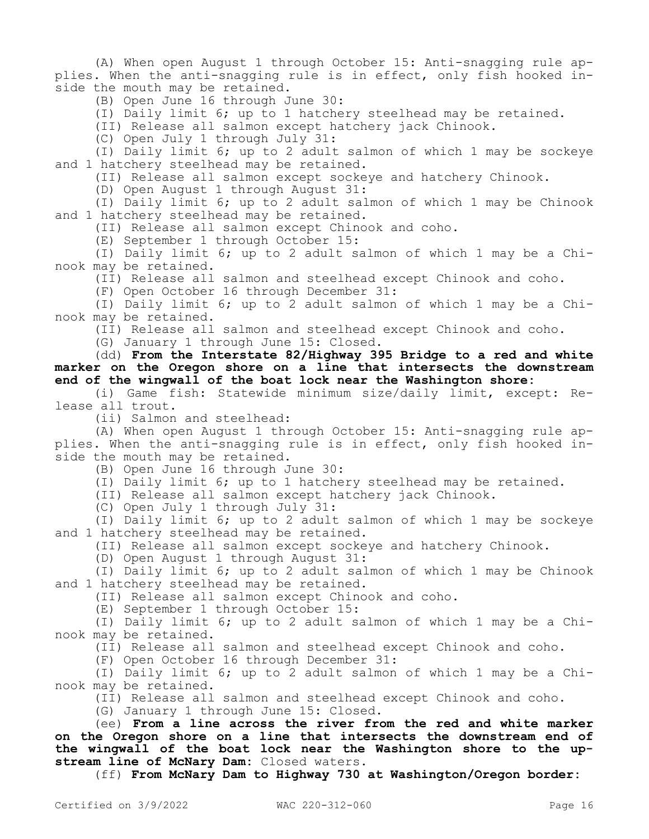(A) When open August 1 through October 15: Anti-snagging rule applies. When the anti-snagging rule is in effect, only fish hooked inside the mouth may be retained.

(B) Open June 16 through June 30:

(I) Daily limit 6; up to 1 hatchery steelhead may be retained.

(II) Release all salmon except hatchery jack Chinook.

(C) Open July 1 through July 31:

(I) Daily limit 6; up to 2 adult salmon of which 1 may be sockeye and 1 hatchery steelhead may be retained.

(II) Release all salmon except sockeye and hatchery Chinook.

(D) Open August 1 through August 31:

(I) Daily limit 6; up to 2 adult salmon of which 1 may be Chinook and 1 hatchery steelhead may be retained.

(II) Release all salmon except Chinook and coho.

(E) September 1 through October 15:

(I) Daily limit 6; up to 2 adult salmon of which 1 may be a Chinook may be retained.

(II) Release all salmon and steelhead except Chinook and coho.

(F) Open October 16 through December 31:

(I) Daily limit 6; up to 2 adult salmon of which 1 may be a Chinook may be retained.

(II) Release all salmon and steelhead except Chinook and coho.

(G) January 1 through June 15: Closed.

(dd) **From the Interstate 82/Highway 395 Bridge to a red and white marker on the Oregon shore on a line that intersects the downstream end of the wingwall of the boat lock near the Washington shore:**

(i) Game fish: Statewide minimum size/daily limit, except: Release all trout.

(ii) Salmon and steelhead:

(A) When open August 1 through October 15: Anti-snagging rule applies. When the anti-snagging rule is in effect, only fish hooked inside the mouth may be retained.

(B) Open June 16 through June 30:

(I) Daily limit 6; up to 1 hatchery steelhead may be retained.

(II) Release all salmon except hatchery jack Chinook.

(C) Open July 1 through July 31:

(I) Daily limit 6; up to 2 adult salmon of which 1 may be sockeye and 1 hatchery steelhead may be retained.

(II) Release all salmon except sockeye and hatchery Chinook.

(D) Open August 1 through August 31:

(I) Daily limit 6; up to 2 adult salmon of which 1 may be Chinook and 1 hatchery steelhead may be retained.

(II) Release all salmon except Chinook and coho.

(E) September 1 through October 15:

(I) Daily limit 6; up to 2 adult salmon of which 1 may be a Chinook may be retained.

(II) Release all salmon and steelhead except Chinook and coho.

(F) Open October 16 through December 31:

(I) Daily limit 6; up to 2 adult salmon of which 1 may be a Chinook may be retained.

(II) Release all salmon and steelhead except Chinook and coho.

(G) January 1 through June 15: Closed.

(ee) **From a line across the river from the red and white marker on the Oregon shore on a line that intersects the downstream end of the wingwall of the boat lock near the Washington shore to the upstream line of McNary Dam:** Closed waters.

(ff) **From McNary Dam to Highway 730 at Washington/Oregon border:**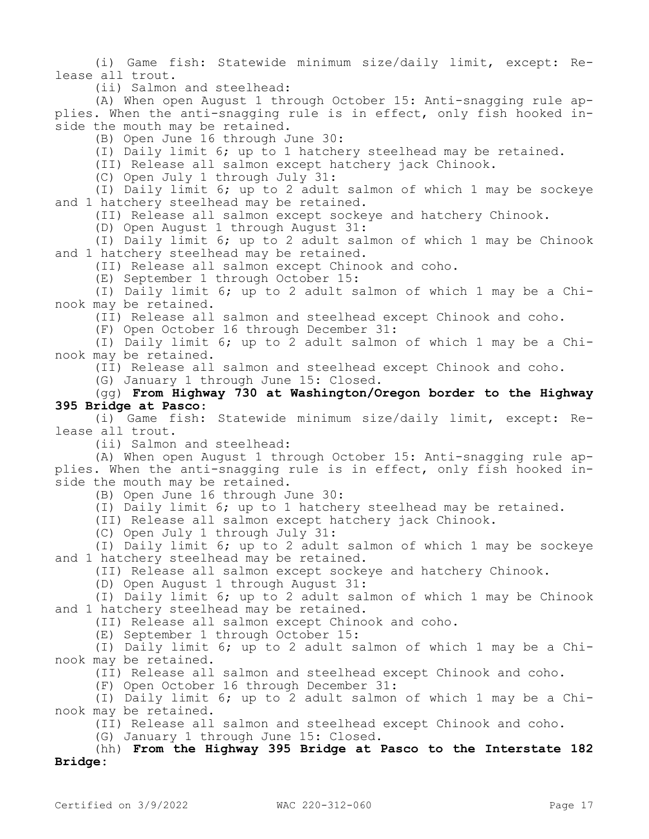(i) Game fish: Statewide minimum size/daily limit, except: Release all trout.

(ii) Salmon and steelhead:

(A) When open August 1 through October 15: Anti-snagging rule applies. When the anti-snagging rule is in effect, only fish hooked inside the mouth may be retained.

(B) Open June 16 through June 30:

(I) Daily limit 6; up to 1 hatchery steelhead may be retained.

(II) Release all salmon except hatchery jack Chinook.

(C) Open July 1 through July 31:

(I) Daily limit 6; up to 2 adult salmon of which 1 may be sockeye and 1 hatchery steelhead may be retained.

(II) Release all salmon except sockeye and hatchery Chinook.

(D) Open August 1 through August 31:

(I) Daily limit 6; up to 2 adult salmon of which 1 may be Chinook and 1 hatchery steelhead may be retained.

(II) Release all salmon except Chinook and coho.

(E) September 1 through October 15:

(I) Daily limit 6; up to 2 adult salmon of which 1 may be a Chinook may be retained.

(II) Release all salmon and steelhead except Chinook and coho.

(F) Open October 16 through December 31:

(I) Daily limit 6; up to 2 adult salmon of which 1 may be a Chinook may be retained.

(II) Release all salmon and steelhead except Chinook and coho.

(G) January 1 through June 15: Closed.

(gg) **From Highway 730 at Washington/Oregon border to the Highway 395 Bridge at Pasco**:

(i) Game fish: Statewide minimum size/daily limit, except: Release all trout.

(ii) Salmon and steelhead:

(A) When open August 1 through October 15: Anti-snagging rule applies. When the anti-snagging rule is in effect, only fish hooked inside the mouth may be retained.

(B) Open June 16 through June 30:

(I) Daily limit 6; up to 1 hatchery steelhead may be retained.

(II) Release all salmon except hatchery jack Chinook.

(C) Open July 1 through July 31:

(I) Daily limit 6; up to 2 adult salmon of which 1 may be sockeye and 1 hatchery steelhead may be retained.

(II) Release all salmon except sockeye and hatchery Chinook.

(D) Open August 1 through August 31:

(I) Daily limit 6; up to 2 adult salmon of which 1 may be Chinook and 1 hatchery steelhead may be retained.

(II) Release all salmon except Chinook and coho.

(E) September 1 through October 15:

(I) Daily limit 6; up to 2 adult salmon of which 1 may be a Chinook may be retained.

(II) Release all salmon and steelhead except Chinook and coho.

(F) Open October 16 through December 31:

(I) Daily limit 6; up to 2 adult salmon of which 1 may be a Chinook may be retained.

(II) Release all salmon and steelhead except Chinook and coho.

(G) January 1 through June 15: Closed.

(hh) **From the Highway 395 Bridge at Pasco to the Interstate 182 Bridge:**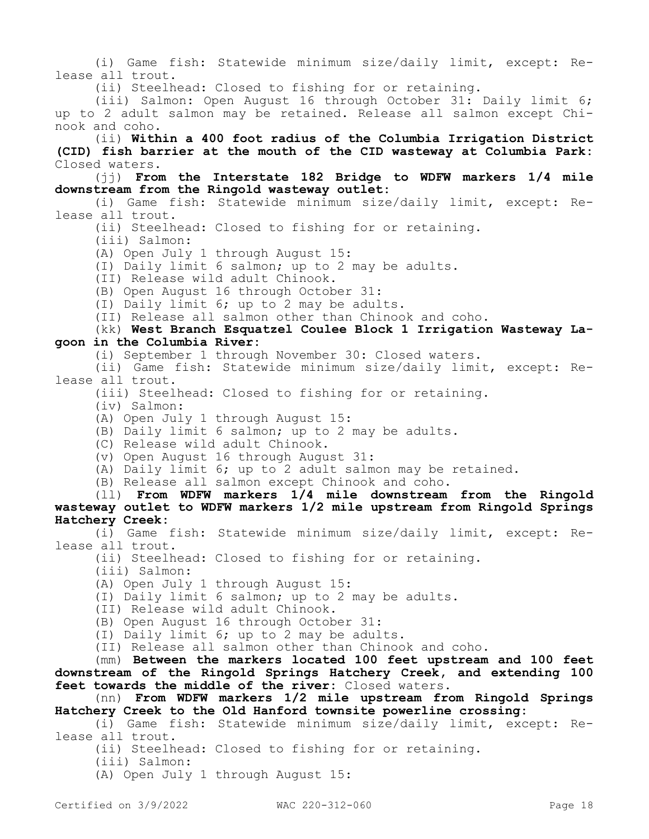(i) Game fish: Statewide minimum size/daily limit, except: Release all trout.

(ii) Steelhead: Closed to fishing for or retaining.

(iii) Salmon: Open August 16 through October 31: Daily limit 6; up to 2 adult salmon may be retained. Release all salmon except Chinook and coho.

(ii) **Within a 400 foot radius of the Columbia Irrigation District (CID) fish barrier at the mouth of the CID wasteway at Columbia Park:**  Closed waters.

(jj) **From the Interstate 182 Bridge to WDFW markers 1/4 mile downstream from the Ringold wasteway outlet:**

(i) Game fish: Statewide minimum size/daily limit, except: Release all trout.

(ii) Steelhead: Closed to fishing for or retaining.

(iii) Salmon:

(A) Open July 1 through August 15:

- (I) Daily limit 6 salmon; up to 2 may be adults.
- (II) Release wild adult Chinook.

(B) Open August 16 through October 31:

(I) Daily limit 6; up to 2 may be adults.

(II) Release all salmon other than Chinook and coho.

## (kk) **West Branch Esquatzel Coulee Block 1 Irrigation Wasteway Lagoon in the Columbia River:**

(i) September 1 through November 30: Closed waters.

(ii) Game fish: Statewide minimum size/daily limit, except: Release all trout.

(iii) Steelhead: Closed to fishing for or retaining.

(iv) Salmon:

(A) Open July 1 through August 15:

(B) Daily limit 6 salmon; up to 2 may be adults.

- (C) Release wild adult Chinook.
- (v) Open August 16 through August 31:

(A) Daily limit 6; up to 2 adult salmon may be retained.

(B) Release all salmon except Chinook and coho.

(ll) **From WDFW markers 1/4 mile downstream from the Ringold wasteway outlet to WDFW markers 1/2 mile upstream from Ringold Springs Hatchery Creek:**

(i) Game fish: Statewide minimum size/daily limit, except: Release all trout.

(ii) Steelhead: Closed to fishing for or retaining.

(iii) Salmon:

(A) Open July 1 through August 15:

(I) Daily limit 6 salmon; up to 2 may be adults.

(II) Release wild adult Chinook.

(B) Open August 16 through October 31:

(I) Daily limit 6; up to 2 may be adults.

(II) Release all salmon other than Chinook and coho.

(mm) **Between the markers located 100 feet upstream and 100 feet downstream of the Ringold Springs Hatchery Creek, and extending 100 feet towards the middle of the river:** Closed waters.

(nn) **From WDFW markers 1/2 mile upstream from Ringold Springs Hatchery Creek to the Old Hanford townsite powerline crossing:**

(i) Game fish: Statewide minimum size/daily limit, except: Release all trout.

(ii) Steelhead: Closed to fishing for or retaining.

(iii) Salmon:

(A) Open July 1 through August 15: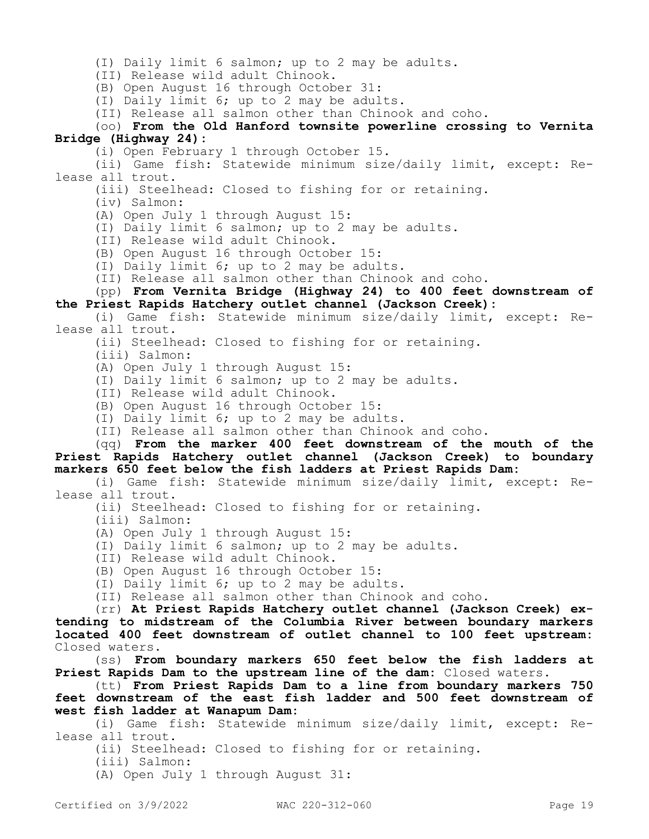(I) Daily limit 6 salmon; up to 2 may be adults.

(II) Release wild adult Chinook.

(B) Open August 16 through October 31:

(I) Daily limit 6; up to 2 may be adults.

(II) Release all salmon other than Chinook and coho.

(oo) **From the Old Hanford townsite powerline crossing to Vernita Bridge (Highway 24):**

(i) Open February 1 through October 15.

(ii) Game fish: Statewide minimum size/daily limit, except: Release all trout.

(iii) Steelhead: Closed to fishing for or retaining.

(iv) Salmon:

(A) Open July 1 through August 15:

(I) Daily limit 6 salmon; up to 2 may be adults.

(II) Release wild adult Chinook.

(B) Open August 16 through October 15:

(I) Daily limit 6; up to 2 may be adults.

(II) Release all salmon other than Chinook and coho.

(pp) **From Vernita Bridge (Highway 24) to 400 feet downstream of the Priest Rapids Hatchery outlet channel (Jackson Creek):**

(i) Game fish: Statewide minimum size/daily limit, except: Release all trout.

(ii) Steelhead: Closed to fishing for or retaining.

(iii) Salmon:

(A) Open July 1 through August 15:

(I) Daily limit 6 salmon; up to 2 may be adults.

(II) Release wild adult Chinook.

(B) Open August 16 through October 15:

(I) Daily limit 6; up to 2 may be adults.

(II) Release all salmon other than Chinook and coho.

(qq) **From the marker 400 feet downstream of the mouth of the Priest Rapids Hatchery outlet channel (Jackson Creek) to boundary markers 650 feet below the fish ladders at Priest Rapids Dam:**

(i) Game fish: Statewide minimum size/daily limit, except: Release all trout.

(ii) Steelhead: Closed to fishing for or retaining.

(iii) Salmon:

(A) Open July 1 through August 15:

(I) Daily limit 6 salmon; up to 2 may be adults.

(II) Release wild adult Chinook.

(B) Open August 16 through October 15:

(I) Daily limit 6; up to 2 may be adults.

(II) Release all salmon other than Chinook and coho.

(rr) **At Priest Rapids Hatchery outlet channel (Jackson Creek) extending to midstream of the Columbia River between boundary markers located 400 feet downstream of outlet channel to 100 feet upstream:**  Closed waters.

(ss) **From boundary markers 650 feet below the fish ladders at Priest Rapids Dam to the upstream line of the dam:** Closed waters.

(tt) **From Priest Rapids Dam to a line from boundary markers 750 feet downstream of the east fish ladder and 500 feet downstream of west fish ladder at Wanapum Dam:**

(i) Game fish: Statewide minimum size/daily limit, except: Release all trout.

(ii) Steelhead: Closed to fishing for or retaining.

(iii) Salmon:

(A) Open July 1 through August 31: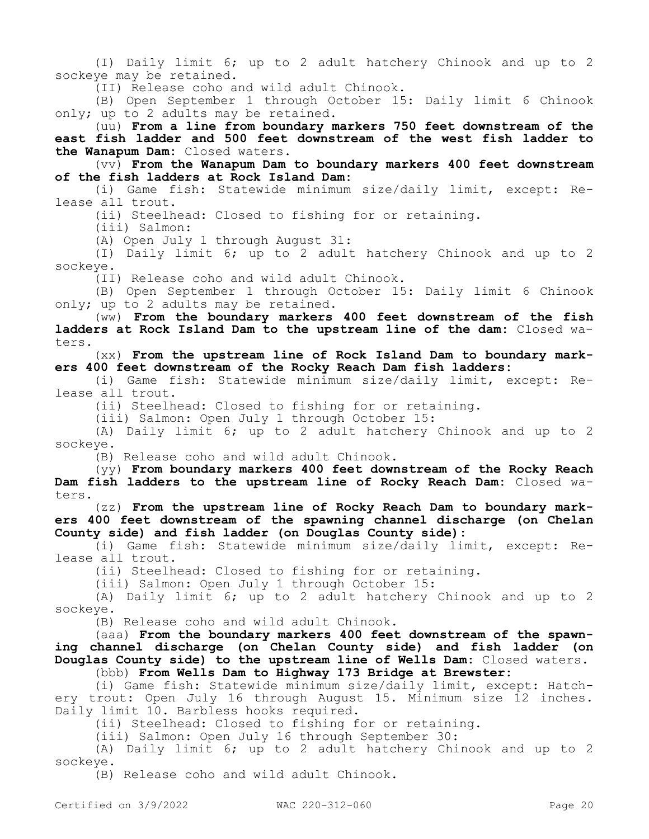(I) Daily limit 6; up to 2 adult hatchery Chinook and up to 2 sockeye may be retained.

(II) Release coho and wild adult Chinook.

(B) Open September 1 through October 15: Daily limit 6 Chinook only; up to 2 adults may be retained.

(uu) **From a line from boundary markers 750 feet downstream of the east fish ladder and 500 feet downstream of the west fish ladder to the Wanapum Dam:** Closed waters.

(vv) **From the Wanapum Dam to boundary markers 400 feet downstream of the fish ladders at Rock Island Dam:**

(i) Game fish: Statewide minimum size/daily limit, except: Release all trout.

(ii) Steelhead: Closed to fishing for or retaining.

(iii) Salmon:

(A) Open July 1 through August 31:

(I) Daily limit 6; up to 2 adult hatchery Chinook and up to 2 sockeye.

(II) Release coho and wild adult Chinook.

(B) Open September 1 through October 15: Daily limit 6 Chinook only; up to 2 adults may be retained.

(ww) **From the boundary markers 400 feet downstream of the fish ladders at Rock Island Dam to the upstream line of the dam:** Closed waters.

(xx) **From the upstream line of Rock Island Dam to boundary markers 400 feet downstream of the Rocky Reach Dam fish ladders:**

(i) Game fish: Statewide minimum size/daily limit, except: Release all trout.

(ii) Steelhead: Closed to fishing for or retaining.

(iii) Salmon: Open July 1 through October 15:

(A) Daily limit 6; up to 2 adult hatchery Chinook and up to 2 sockeye.

(B) Release coho and wild adult Chinook.

(yy) **From boundary markers 400 feet downstream of the Rocky Reach Dam fish ladders to the upstream line of Rocky Reach Dam:** Closed waters.

(zz) **From the upstream line of Rocky Reach Dam to boundary markers 400 feet downstream of the spawning channel discharge (on Chelan County side) and fish ladder (on Douglas County side):**

(i) Game fish: Statewide minimum size/daily limit, except: Release all trout.

(ii) Steelhead: Closed to fishing for or retaining.

(iii) Salmon: Open July 1 through October 15:

(A) Daily limit 6; up to 2 adult hatchery Chinook and up to 2 sockeye.

(B) Release coho and wild adult Chinook.

(aaa) **From the boundary markers 400 feet downstream of the spawning channel discharge (on Chelan County side) and fish ladder (on Douglas County side) to the upstream line of Wells Dam:** Closed waters. (bbb) **From Wells Dam to Highway 173 Bridge at Brewster:**

(i) Game fish: Statewide minimum size/daily limit, except: Hatchery trout: Open July 16 through August 15. Minimum size 12 inches. Daily limit 10. Barbless hooks required.

(ii) Steelhead: Closed to fishing for or retaining.

(iii) Salmon: Open July 16 through September 30:

(A) Daily limit 6; up to 2 adult hatchery Chinook and up to 2 sockeye.

(B) Release coho and wild adult Chinook.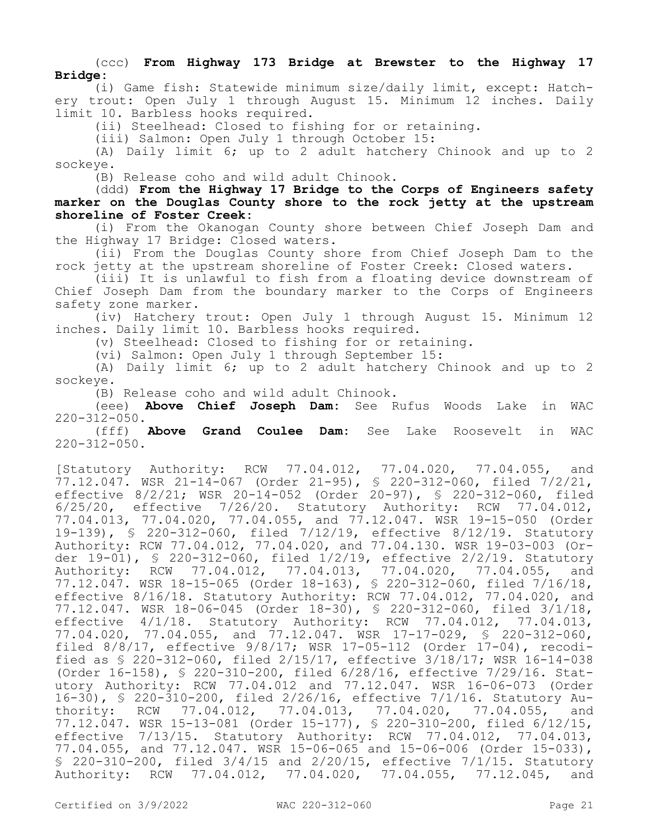### (ccc) **From Highway 173 Bridge at Brewster to the Highway 17 Bridge:**

(i) Game fish: Statewide minimum size/daily limit, except: Hatchery trout: Open July 1 through August 15. Minimum 12 inches. Daily limit 10. Barbless hooks required.

(ii) Steelhead: Closed to fishing for or retaining.

(iii) Salmon: Open July 1 through October 15:

(A) Daily limit 6; up to 2 adult hatchery Chinook and up to 2 sockeye.

(B) Release coho and wild adult Chinook.

(ddd) **From the Highway 17 Bridge to the Corps of Engineers safety marker on the Douglas County shore to the rock jetty at the upstream shoreline of Foster Creek:**

(i) From the Okanogan County shore between Chief Joseph Dam and the Highway 17 Bridge: Closed waters.

(ii) From the Douglas County shore from Chief Joseph Dam to the rock jetty at the upstream shoreline of Foster Creek: Closed waters.

(iii) It is unlawful to fish from a floating device downstream of Chief Joseph Dam from the boundary marker to the Corps of Engineers safety zone marker.

(iv) Hatchery trout: Open July 1 through August 15. Minimum 12 inches. Daily limit 10. Barbless hooks required.

(v) Steelhead: Closed to fishing for or retaining.

(vi) Salmon: Open July 1 through September 15:

(A) Daily limit 6; up to 2 adult hatchery Chinook and up to 2 sockeye.

(B) Release coho and wild adult Chinook.

(eee) **Above Chief Joseph Dam:** See Rufus Woods Lake in WAC  $220-312-050.$ <br>(fff)

Above Grand Coulee Dam: See Lake Roosevelt in WAC 220-312-050.

[Statutory Authority: RCW 77.04.012, 77.04.020, 77.04.055, and 77.12.047. WSR 21-14-067 (Order 21-95), § 220-312-060, filed 7/2/21, effective 8/2/21; WSR 20-14-052 (Order 20-97), § 220-312-060, filed 6/25/20, effective 7/26/20. Statutory Authority: RCW 77.04.012, 77.04.013, 77.04.020, 77.04.055, and 77.12.047. WSR 19-15-050 (Order 19-139), § 220-312-060, filed 7/12/19, effective 8/12/19. Statutory Authority: RCW 77.04.012, 77.04.020, and 77.04.130. WSR 19-03-003 (Order 19-01), § 220-312-060, filed 1/2/19, effective 2/2/19. Statutory Authority: RCW 77.04.012, 77.04.013, 77.04.020, 77.04.055, and 77.12.047. WSR 18-15-065 (Order 18-163), § 220-312-060, filed 7/16/18, effective 8/16/18. Statutory Authority: RCW 77.04.012, 77.04.020, and 77.12.047. WSR 18-06-045 (Order 18-30), § 220-312-060, filed 3/1/18, effective 4/1/18. Statutory Authority: RCW 77.04.012, 77.04.013, 77.04.020, 77.04.055, and 77.12.047. WSR 17-17-029, § 220-312-060, filed 8/8/17, effective 9/8/17; WSR 17-05-112 (Order 17-04), recodified as § 220-312-060, filed 2/15/17, effective 3/18/17; WSR 16-14-038 (Order 16-158), § 220-310-200, filed 6/28/16, effective 7/29/16. Statutory Authority: RCW 77.04.012 and 77.12.047. WSR 16-06-073 (Order 16-30), § 220-310-200, filed 2/26/16, effective 7/1/16. Statutory Authority: RCW 77.04.012, 77.04.013, 77.04.020, 77.04.055, and 77.12.047. WSR 15-13-081 (Order 15-177), § 220-310-200, filed 6/12/15, effective 7/13/15. Statutory Authority: RCW 77.04.012, 77.04.013, 77.04.055, and 77.12.047. WSR 15-06-065 and 15-06-006 (Order 15-033), § 220-310-200, filed 3/4/15 and 2/20/15, effective 7/1/15. Statutory Authority: RCW 77.04.012, 77.04.020, 77.04.055, 77.12.045, and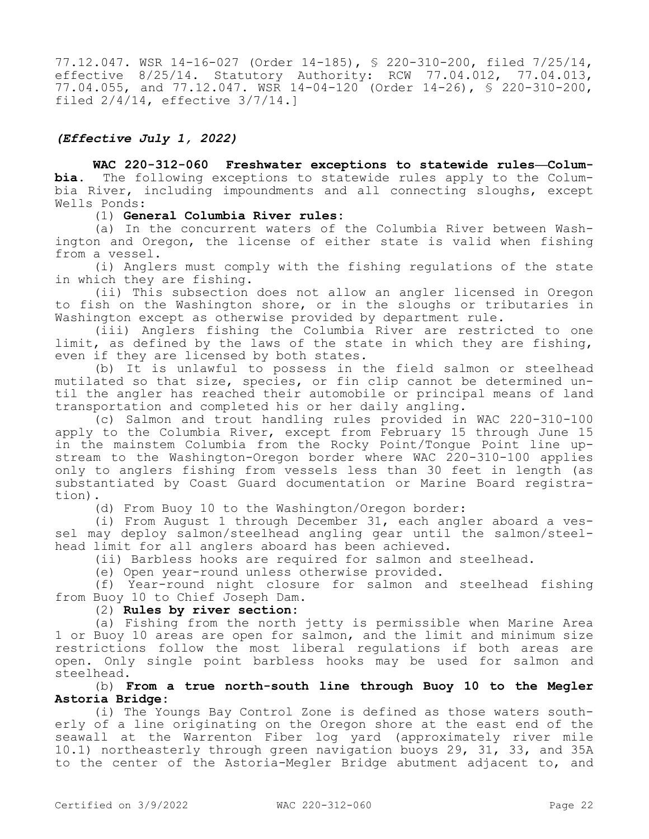77.12.047. WSR 14-16-027 (Order 14-185), § 220-310-200, filed 7/25/14, effective 8/25/14. Statutory Authority: RCW 77.04.012, 77.04.013, 77.04.055, and 77.12.047. WSR 14-04-120 (Order 14-26), § 220-310-200, filed 2/4/14, effective 3/7/14.]

## *(Effective July 1, 2022)*

**WAC 220-312-060 Freshwater exceptions to statewide rules—Columbia.** The following exceptions to statewide rules apply to the Columbia River, including impoundments and all connecting sloughs, except Wells Ponds:

(1) **General Columbia River rules:**

(a) In the concurrent waters of the Columbia River between Washington and Oregon, the license of either state is valid when fishing from a vessel.

(i) Anglers must comply with the fishing regulations of the state in which they are fishing.

(ii) This subsection does not allow an angler licensed in Oregon to fish on the Washington shore, or in the sloughs or tributaries in Washington except as otherwise provided by department rule.

(iii) Anglers fishing the Columbia River are restricted to one limit, as defined by the laws of the state in which they are fishing, even if they are licensed by both states.

(b) It is unlawful to possess in the field salmon or steelhead mutilated so that size, species, or fin clip cannot be determined until the angler has reached their automobile or principal means of land transportation and completed his or her daily angling.

(c) Salmon and trout handling rules provided in WAC 220-310-100 apply to the Columbia River, except from February 15 through June 15 in the mainstem Columbia from the Rocky Point/Tongue Point line upstream to the Washington-Oregon border where WAC 220-310-100 applies only to anglers fishing from vessels less than 30 feet in length (as substantiated by Coast Guard documentation or Marine Board registration).

(d) From Buoy 10 to the Washington/Oregon border:

(i) From August 1 through December 31, each angler aboard a vessel may deploy salmon/steelhead angling gear until the salmon/steelhead limit for all anglers aboard has been achieved.

(ii) Barbless hooks are required for salmon and steelhead.

(e) Open year-round unless otherwise provided.

(f) Year-round night closure for salmon and steelhead fishing from Buoy 10 to Chief Joseph Dam.

### (2) **Rules by river section:**

(a) Fishing from the north jetty is permissible when Marine Area 1 or Buoy 10 areas are open for salmon, and the limit and minimum size restrictions follow the most liberal regulations if both areas are open. Only single point barbless hooks may be used for salmon and steelhead.

(b) **From a true north-south line through Buoy 10 to the Megler Astoria Bridge:**

(i) The Youngs Bay Control Zone is defined as those waters southerly of a line originating on the Oregon shore at the east end of the seawall at the Warrenton Fiber log yard (approximately river mile 10.1) northeasterly through green navigation buoys 29, 31, 33, and 35A to the center of the Astoria-Megler Bridge abutment adjacent to, and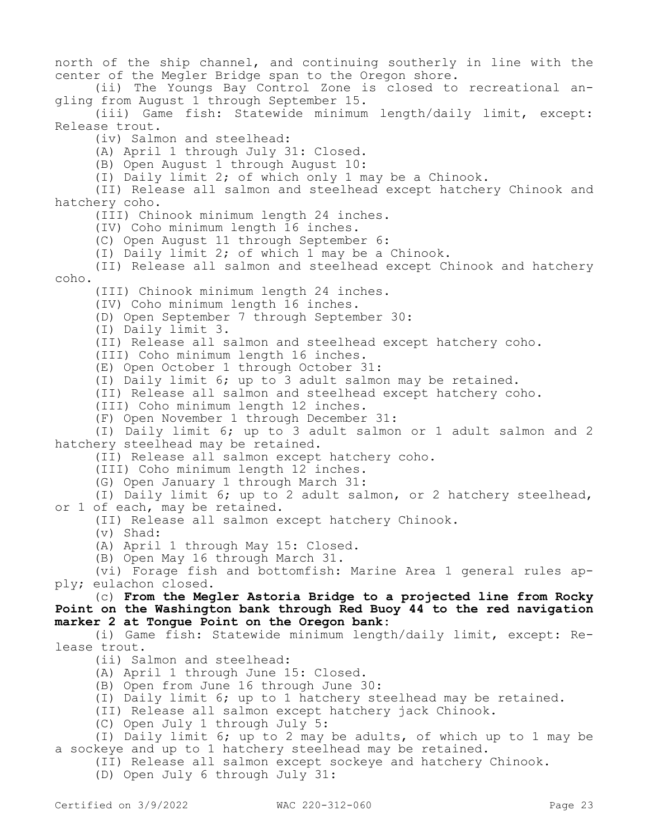north of the ship channel, and continuing southerly in line with the center of the Megler Bridge span to the Oregon shore.

(ii) The Youngs Bay Control Zone is closed to recreational angling from August 1 through September 15.

(iii) Game fish: Statewide minimum length/daily limit, except: Release trout.

(iv) Salmon and steelhead:

(A) April 1 through July 31: Closed.

(B) Open August 1 through August 10:

(I) Daily limit 2; of which only 1 may be a Chinook.

(II) Release all salmon and steelhead except hatchery Chinook and hatchery coho.

(III) Chinook minimum length 24 inches.

(IV) Coho minimum length 16 inches.

(C) Open August 11 through September 6:

(I) Daily limit 2; of which 1 may be a Chinook.

(II) Release all salmon and steelhead except Chinook and hatchery coho.

(III) Chinook minimum length 24 inches.

(IV) Coho minimum length 16 inches.

(D) Open September 7 through September 30:

(I) Daily limit 3.

(II) Release all salmon and steelhead except hatchery coho.

(III) Coho minimum length 16 inches.

(E) Open October 1 through October 31:

(I) Daily limit 6; up to 3 adult salmon may be retained.

(II) Release all salmon and steelhead except hatchery coho.

(III) Coho minimum length 12 inches.

(F) Open November 1 through December 31:

(I) Daily limit 6; up to 3 adult salmon or 1 adult salmon and 2 hatchery steelhead may be retained.

(II) Release all salmon except hatchery coho.

(III) Coho minimum length 12 inches.

(G) Open January 1 through March 31:

(I) Daily limit 6; up to 2 adult salmon, or 2 hatchery steelhead, or 1 of each, may be retained.

(II) Release all salmon except hatchery Chinook.

(v) Shad:

(A) April 1 through May 15: Closed.

(B) Open May 16 through March 31.

(vi) Forage fish and bottomfish: Marine Area 1 general rules apply; eulachon closed.

(c) **From the Megler Astoria Bridge to a projected line from Rocky Point on the Washington bank through Red Buoy 44 to the red navigation marker 2 at Tongue Point on the Oregon bank:**

(i) Game fish: Statewide minimum length/daily limit, except: Release trout.

(ii) Salmon and steelhead:

(A) April 1 through June 15: Closed.

(B) Open from June 16 through June 30:

(I) Daily limit 6; up to 1 hatchery steelhead may be retained.

(II) Release all salmon except hatchery jack Chinook.

(C) Open July 1 through July 5:

(I) Daily limit 6; up to 2 may be adults, of which up to 1 may be a sockeye and up to 1 hatchery steelhead may be retained.

(II) Release all salmon except sockeye and hatchery Chinook.

(D) Open July 6 through July 31: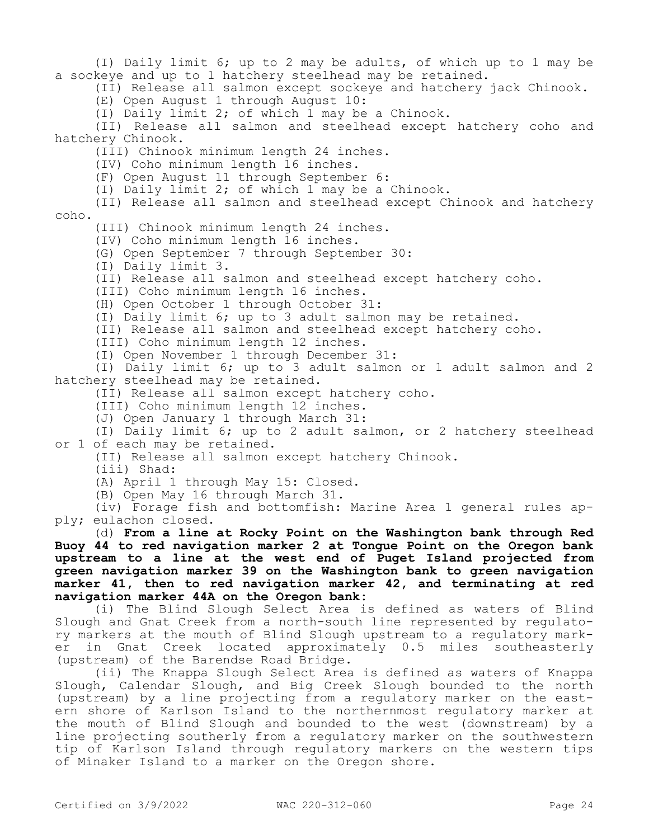(I) Daily limit 6; up to 2 may be adults, of which up to 1 may be a sockeye and up to 1 hatchery steelhead may be retained. (II) Release all salmon except sockeye and hatchery jack Chinook. (E) Open August 1 through August 10: (I) Daily limit 2; of which 1 may be a Chinook. (II) Release all salmon and steelhead except hatchery coho and hatchery Chinook. (III) Chinook minimum length 24 inches. (IV) Coho minimum length 16 inches. (F) Open August 11 through September 6: (I) Daily limit 2; of which 1 may be a Chinook. (II) Release all salmon and steelhead except Chinook and hatchery coho. (III) Chinook minimum length 24 inches. (IV) Coho minimum length 16 inches. (G) Open September 7 through September 30: (I) Daily limit 3. (II) Release all salmon and steelhead except hatchery coho. (III) Coho minimum length 16 inches. (H) Open October 1 through October 31: (I) Daily limit 6; up to 3 adult salmon may be retained. (II) Release all salmon and steelhead except hatchery coho. (III) Coho minimum length 12 inches. (I) Open November 1 through December 31: (I) Daily limit 6; up to 3 adult salmon or 1 adult salmon and 2 hatchery steelhead may be retained. (II) Release all salmon except hatchery coho. (III) Coho minimum length 12 inches. (J) Open January 1 through March 31: (I) Daily limit 6; up to 2 adult salmon, or 2 hatchery steelhead or 1 of each may be retained. (II) Release all salmon except hatchery Chinook. (iii) Shad: (A) April 1 through May 15: Closed. (B) Open May 16 through March 31. (iv) Forage fish and bottomfish: Marine Area 1 general rules apply; eulachon closed. (d) **From a line at Rocky Point on the Washington bank through Red Buoy 44 to red navigation marker 2 at Tongue Point on the Oregon bank upstream to a line at the west end of Puget Island projected from green navigation marker 39 on the Washington bank to green navigation marker 41, then to red navigation marker 42, and terminating at red navigation marker 44A on the Oregon bank:** (i) The Blind Slough Select Area is defined as waters of Blind Slough and Gnat Creek from a north-south line represented by regulatory markers at the mouth of Blind Slough upstream to a regulatory marker in Gnat Creek located approximately 0.5 miles southeasterly (upstream) of the Barendse Road Bridge. (ii) The Knappa Slough Select Area is defined as waters of Knappa

Slough, Calendar Slough, and Big Creek Slough bounded to the north (upstream) by a line projecting from a regulatory marker on the eastern shore of Karlson Island to the northernmost regulatory marker at the mouth of Blind Slough and bounded to the west (downstream) by a line projecting southerly from a regulatory marker on the southwestern tip of Karlson Island through regulatory markers on the western tips of Minaker Island to a marker on the Oregon shore.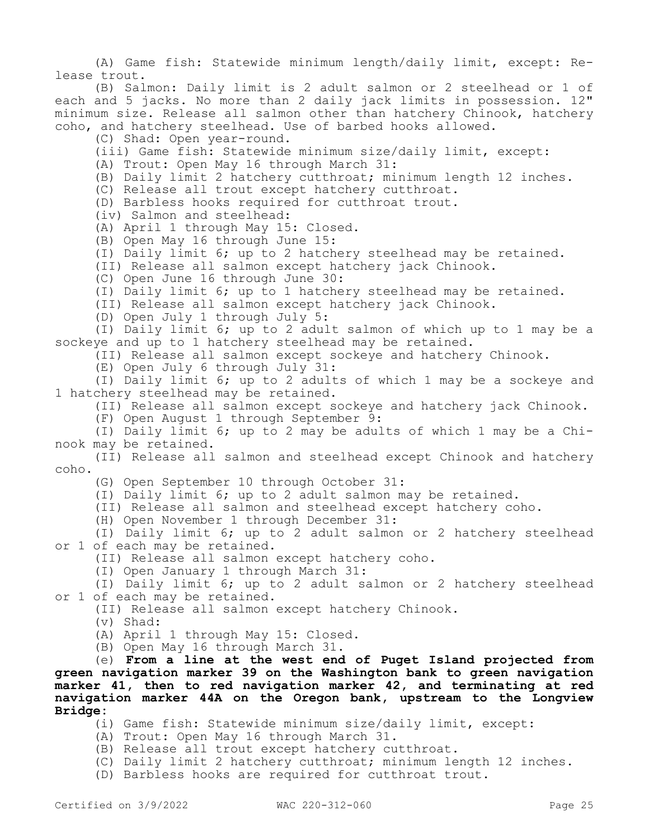(A) Game fish: Statewide minimum length/daily limit, except: Release trout.

(B) Salmon: Daily limit is 2 adult salmon or 2 steelhead or 1 of each and 5 jacks. No more than 2 daily jack limits in possession. 12" minimum size. Release all salmon other than hatchery Chinook, hatchery coho, and hatchery steelhead. Use of barbed hooks allowed.

(C) Shad: Open year-round.

(iii) Game fish: Statewide minimum size/daily limit, except:

(A) Trout: Open May 16 through March 31:

(B) Daily limit 2 hatchery cutthroat; minimum length 12 inches.

(C) Release all trout except hatchery cutthroat.

(D) Barbless hooks required for cutthroat trout.

(iv) Salmon and steelhead:

(A) April 1 through May 15: Closed.

(B) Open May 16 through June 15:

(I) Daily limit 6; up to 2 hatchery steelhead may be retained.

(II) Release all salmon except hatchery jack Chinook.

(C) Open June 16 through June 30:

(I) Daily limit 6; up to 1 hatchery steelhead may be retained.

(II) Release all salmon except hatchery jack Chinook.

(D) Open July 1 through July 5:

(I) Daily limit 6; up to 2 adult salmon of which up to 1 may be a sockeye and up to 1 hatchery steelhead may be retained.

(II) Release all salmon except sockeye and hatchery Chinook.

(E) Open July 6 through July 31:

(I) Daily limit 6; up to 2 adults of which 1 may be a sockeye and 1 hatchery steelhead may be retained.

(II) Release all salmon except sockeye and hatchery jack Chinook.

(F) Open August 1 through September 9:

(I) Daily limit 6; up to 2 may be adults of which 1 may be a Chinook may be retained.

(II) Release all salmon and steelhead except Chinook and hatchery coho.

(G) Open September 10 through October 31:

(I) Daily limit 6; up to 2 adult salmon may be retained.

(II) Release all salmon and steelhead except hatchery coho.

(H) Open November 1 through December 31:

(I) Daily limit 6; up to 2 adult salmon or 2 hatchery steelhead or 1 of each may be retained.

(II) Release all salmon except hatchery coho.

(I) Open January 1 through March 31:

(I) Daily limit 6; up to 2 adult salmon or 2 hatchery steelhead or 1 of each may be retained.

(II) Release all salmon except hatchery Chinook.

(v) Shad:

(A) April 1 through May 15: Closed.

(B) Open May 16 through March 31.

(e) **From a line at the west end of Puget Island projected from green navigation marker 39 on the Washington bank to green navigation marker 41, then to red navigation marker 42, and terminating at red navigation marker 44A on the Oregon bank, upstream to the Longview Bridge:**

(i) Game fish: Statewide minimum size/daily limit, except:

(A) Trout: Open May 16 through March 31.

(B) Release all trout except hatchery cutthroat.

(C) Daily limit 2 hatchery cutthroat; minimum length 12 inches.

(D) Barbless hooks are required for cutthroat trout.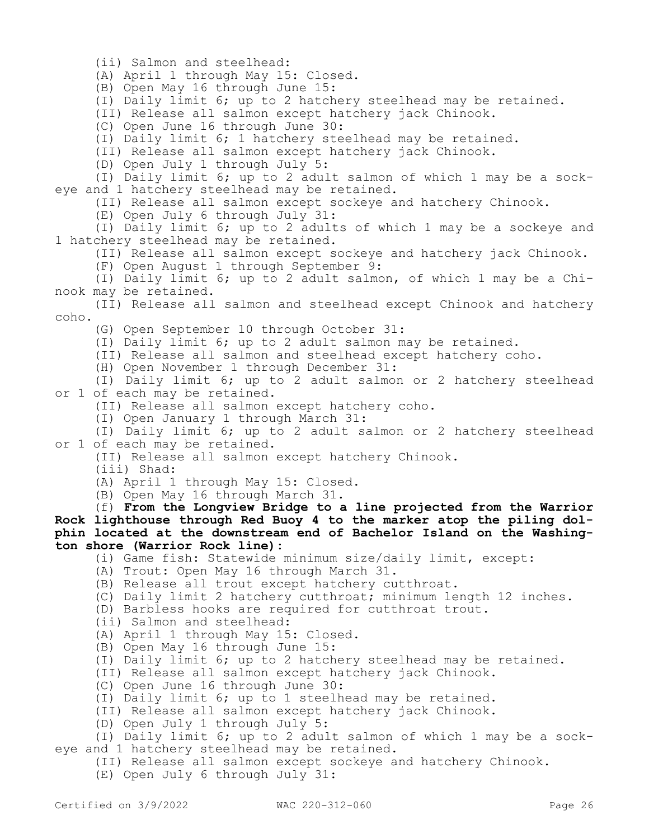(ii) Salmon and steelhead:

(A) April 1 through May 15: Closed.

(B) Open May 16 through June 15:

(I) Daily limit 6; up to 2 hatchery steelhead may be retained.

(II) Release all salmon except hatchery jack Chinook.

(C) Open June 16 through June 30:

(I) Daily limit 6; 1 hatchery steelhead may be retained.

(II) Release all salmon except hatchery jack Chinook.

(D) Open July 1 through July 5:

(I) Daily limit 6; up to 2 adult salmon of which 1 may be a sockeye and 1 hatchery steelhead may be retained.

(II) Release all salmon except sockeye and hatchery Chinook.

(E) Open July 6 through July 31:

(I) Daily limit 6; up to 2 adults of which 1 may be a sockeye and 1 hatchery steelhead may be retained.

(II) Release all salmon except sockeye and hatchery jack Chinook.

(F) Open August 1 through September 9:

(I) Daily limit 6; up to 2 adult salmon, of which 1 may be a Chinook may be retained.

(II) Release all salmon and steelhead except Chinook and hatchery coho.

(G) Open September 10 through October 31:

(I) Daily limit 6; up to 2 adult salmon may be retained.

(II) Release all salmon and steelhead except hatchery coho.

(H) Open November 1 through December 31:

(I) Daily limit 6; up to 2 adult salmon or 2 hatchery steelhead or 1 of each may be retained.

(II) Release all salmon except hatchery coho.

(I) Open January 1 through March 31:

(I) Daily limit 6; up to 2 adult salmon or 2 hatchery steelhead or 1 of each may be retained.

(II) Release all salmon except hatchery Chinook.

(iii) Shad:

(A) April 1 through May 15: Closed.

(B) Open May 16 through March 31.

(f) **From the Longview Bridge to a line projected from the Warrior Rock lighthouse through Red Buoy 4 to the marker atop the piling dolphin located at the downstream end of Bachelor Island on the Washington shore (Warrior Rock line):**

(i) Game fish: Statewide minimum size/daily limit, except:

(A) Trout: Open May 16 through March 31.

(B) Release all trout except hatchery cutthroat.

(C) Daily limit 2 hatchery cutthroat; minimum length 12 inches.

(D) Barbless hooks are required for cutthroat trout.

(ii) Salmon and steelhead:

(A) April 1 through May 15: Closed.

(B) Open May 16 through June 15:

(I) Daily limit 6; up to 2 hatchery steelhead may be retained.

(II) Release all salmon except hatchery jack Chinook.

(C) Open June 16 through June 30:

(I) Daily limit 6; up to 1 steelhead may be retained.

(II) Release all salmon except hatchery jack Chinook.

(D) Open July 1 through July 5:

(I) Daily limit 6; up to 2 adult salmon of which 1 may be a sockeye and 1 hatchery steelhead may be retained.

(II) Release all salmon except sockeye and hatchery Chinook.

(E) Open July 6 through July 31: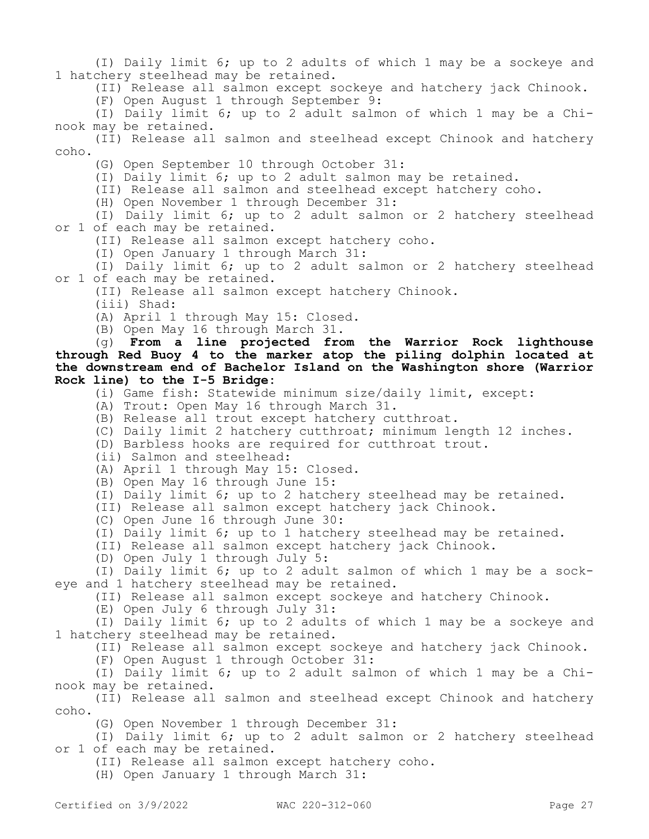(I) Daily limit 6; up to 2 adults of which 1 may be a sockeye and 1 hatchery steelhead may be retained.

(II) Release all salmon except sockeye and hatchery jack Chinook.

(F) Open August 1 through September 9:

(I) Daily limit 6; up to 2 adult salmon of which 1 may be a Chinook may be retained.

(II) Release all salmon and steelhead except Chinook and hatchery coho.

(G) Open September 10 through October 31:

(I) Daily limit 6; up to 2 adult salmon may be retained.

(II) Release all salmon and steelhead except hatchery coho.

(H) Open November 1 through December 31:

(I) Daily limit 6; up to 2 adult salmon or 2 hatchery steelhead or 1 of each may be retained.

(II) Release all salmon except hatchery coho.

(I) Open January 1 through March 31:

(I) Daily limit 6; up to 2 adult salmon or 2 hatchery steelhead or 1 of each may be retained.

(II) Release all salmon except hatchery Chinook.

(iii) Shad:

(A) April 1 through May 15: Closed.

(B) Open May 16 through March 31.

(g) **From a line projected from the Warrior Rock lighthouse through Red Buoy 4 to the marker atop the piling dolphin located at the downstream end of Bachelor Island on the Washington shore (Warrior Rock line) to the I-5 Bridge:**

(i) Game fish: Statewide minimum size/daily limit, except:

(A) Trout: Open May 16 through March 31.

(B) Release all trout except hatchery cutthroat.

(C) Daily limit 2 hatchery cutthroat; minimum length 12 inches.

(D) Barbless hooks are required for cutthroat trout.

(ii) Salmon and steelhead:

(A) April 1 through May 15: Closed.

(B) Open May 16 through June 15:

(I) Daily limit 6; up to 2 hatchery steelhead may be retained.

(II) Release all salmon except hatchery jack Chinook.

(C) Open June 16 through June 30:

(I) Daily limit 6; up to 1 hatchery steelhead may be retained.

(II) Release all salmon except hatchery jack Chinook.

(D) Open July 1 through July 5:

(I) Daily limit 6; up to 2 adult salmon of which 1 may be a sockeye and 1 hatchery steelhead may be retained.

(II) Release all salmon except sockeye and hatchery Chinook.

(E) Open July 6 through July 31:

(I) Daily limit 6; up to 2 adults of which 1 may be a sockeye and 1 hatchery steelhead may be retained.

(II) Release all salmon except sockeye and hatchery jack Chinook.

(F) Open August 1 through October 31:

(I) Daily limit 6; up to 2 adult salmon of which 1 may be a Chinook may be retained.

(II) Release all salmon and steelhead except Chinook and hatchery coho.

(G) Open November 1 through December 31:

(I) Daily limit 6; up to 2 adult salmon or 2 hatchery steelhead or 1 of each may be retained.

(II) Release all salmon except hatchery coho.

(H) Open January 1 through March 31: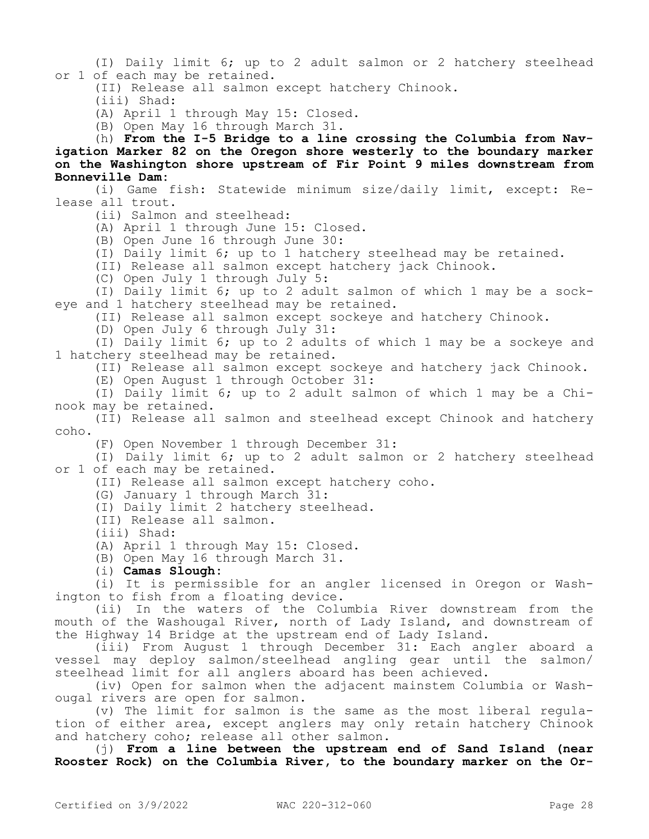(I) Daily limit 6; up to 2 adult salmon or 2 hatchery steelhead or 1 of each may be retained.

(II) Release all salmon except hatchery Chinook.

(iii) Shad:

(A) April 1 through May 15: Closed.

(B) Open May 16 through March 31.

(h) **From the I-5 Bridge to a line crossing the Columbia from Navigation Marker 82 on the Oregon shore westerly to the boundary marker on the Washington shore upstream of Fir Point 9 miles downstream from Bonneville Dam:**

(i) Game fish: Statewide minimum size/daily limit, except: Release all trout.

(ii) Salmon and steelhead:

(A) April 1 through June 15: Closed.

(B) Open June 16 through June 30:

(I) Daily limit 6; up to 1 hatchery steelhead may be retained.

(II) Release all salmon except hatchery jack Chinook.

(C) Open July 1 through July 5:

(I) Daily limit 6; up to 2 adult salmon of which 1 may be a sockeye and 1 hatchery steelhead may be retained.

(II) Release all salmon except sockeye and hatchery Chinook.

(D) Open July 6 through July 31:

(I) Daily limit 6; up to 2 adults of which 1 may be a sockeye and 1 hatchery steelhead may be retained.

(II) Release all salmon except sockeye and hatchery jack Chinook.

(E) Open August 1 through October 31:

(I) Daily limit 6; up to 2 adult salmon of which 1 may be a Chinook may be retained.

(II) Release all salmon and steelhead except Chinook and hatchery coho.

(F) Open November 1 through December 31:

(I) Daily limit 6; up to 2 adult salmon or 2 hatchery steelhead or 1 of each may be retained.

(II) Release all salmon except hatchery coho.

(G) January 1 through March 31:

(I) Daily limit 2 hatchery steelhead.

(II) Release all salmon.

(iii) Shad:

(A) April 1 through May 15: Closed.

(B) Open May 16 through March 31.

(i) **Camas Slough:**

(i) It is permissible for an angler licensed in Oregon or Washington to fish from a floating device.

(ii) In the waters of the Columbia River downstream from the mouth of the Washougal River, north of Lady Island, and downstream of the Highway 14 Bridge at the upstream end of Lady Island.

(iii) From August 1 through December 31: Each angler aboard a vessel may deploy salmon/steelhead angling gear until the salmon/ steelhead limit for all anglers aboard has been achieved.

(iv) Open for salmon when the adjacent mainstem Columbia or Washougal rivers are open for salmon.

(v) The limit for salmon is the same as the most liberal regulation of either area, except anglers may only retain hatchery Chinook and hatchery coho; release all other salmon.

(j) **From a line between the upstream end of Sand Island (near Rooster Rock) on the Columbia River, to the boundary marker on the Or-**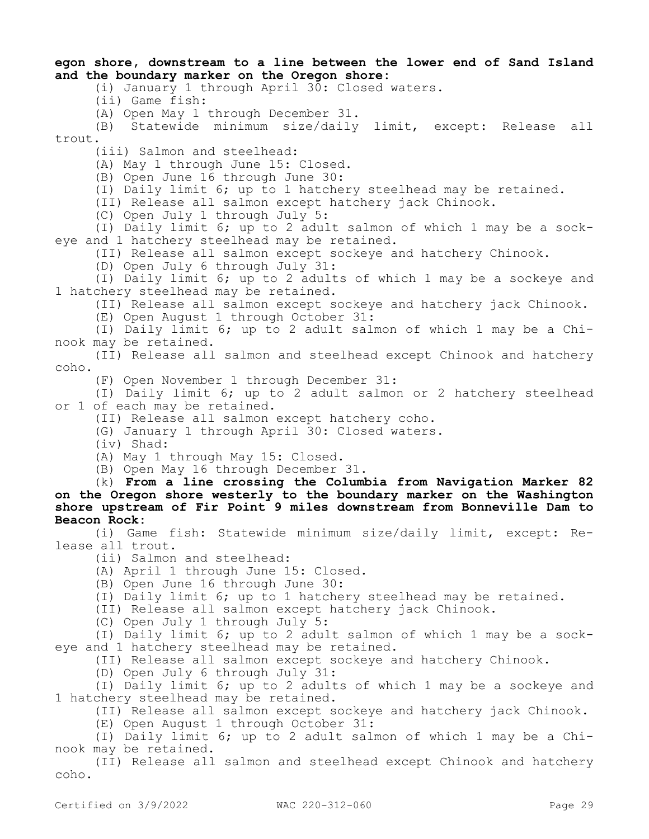**egon shore, downstream to a line between the lower end of Sand Island and the boundary marker on the Oregon shore:**

(i) January 1 through April 30: Closed waters.

(ii) Game fish:

(A) Open May 1 through December 31.

(B) Statewide minimum size/daily limit, except: Release all trout.

(iii) Salmon and steelhead:

(A) May 1 through June 15: Closed.

(B) Open June 16 through June 30:

(I) Daily limit 6; up to 1 hatchery steelhead may be retained.

(II) Release all salmon except hatchery jack Chinook.

(C) Open July 1 through July 5:

(I) Daily limit 6; up to 2 adult salmon of which 1 may be a sockeye and 1 hatchery steelhead may be retained.

(II) Release all salmon except sockeye and hatchery Chinook.

(D) Open July 6 through July 31:

(I) Daily limit 6; up to 2 adults of which 1 may be a sockeye and 1 hatchery steelhead may be retained.

(II) Release all salmon except sockeye and hatchery jack Chinook.

(E) Open August 1 through October 31:

(I) Daily limit 6; up to 2 adult salmon of which 1 may be a Chinook may be retained.

(II) Release all salmon and steelhead except Chinook and hatchery coho.

(F) Open November 1 through December 31:

(I) Daily limit 6; up to 2 adult salmon or 2 hatchery steelhead or 1 of each may be retained.

(II) Release all salmon except hatchery coho.

(G) January 1 through April 30: Closed waters.

(iv) Shad:

(A) May 1 through May 15: Closed.

(B) Open May 16 through December 31.

(k) **From a line crossing the Columbia from Navigation Marker 82 on the Oregon shore westerly to the boundary marker on the Washington shore upstream of Fir Point 9 miles downstream from Bonneville Dam to Beacon Rock:**

(i) Game fish: Statewide minimum size/daily limit, except: Release all trout.

(ii) Salmon and steelhead:

(A) April 1 through June 15: Closed.

(B) Open June 16 through June 30:

(I) Daily limit 6; up to 1 hatchery steelhead may be retained.

(II) Release all salmon except hatchery jack Chinook.

(C) Open July 1 through July 5:

(I) Daily limit 6; up to 2 adult salmon of which 1 may be a sockeye and 1 hatchery steelhead may be retained.

(II) Release all salmon except sockeye and hatchery Chinook.

(D) Open July 6 through July 31:

(I) Daily limit 6; up to 2 adults of which 1 may be a sockeye and 1 hatchery steelhead may be retained.

(II) Release all salmon except sockeye and hatchery jack Chinook.

(E) Open August 1 through October 31:

(I) Daily limit 6; up to 2 adult salmon of which 1 may be a Chinook may be retained.

(II) Release all salmon and steelhead except Chinook and hatchery coho.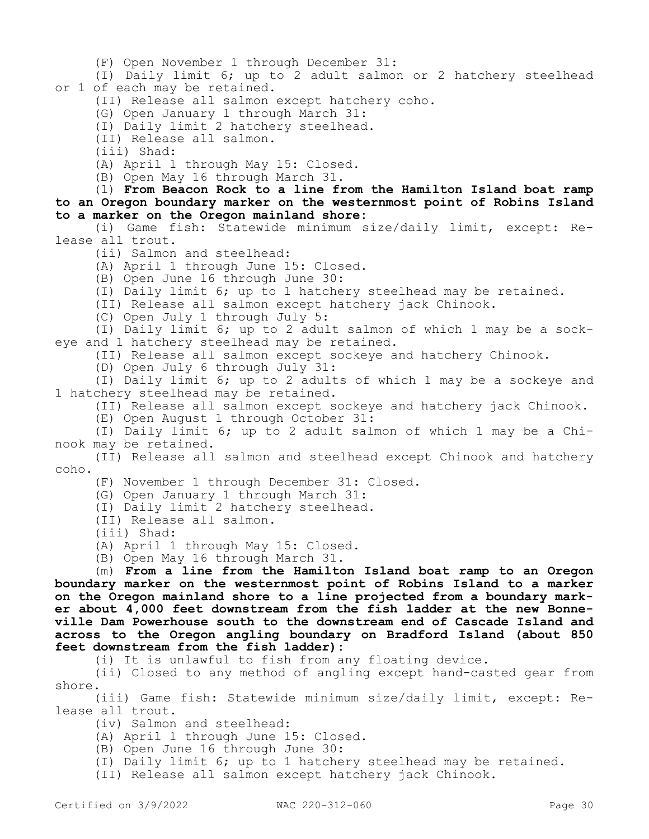(F) Open November 1 through December 31:

(I) Daily limit 6; up to 2 adult salmon or 2 hatchery steelhead or 1 of each may be retained.

(II) Release all salmon except hatchery coho.

(G) Open January 1 through March 31:

(I) Daily limit 2 hatchery steelhead.

(II) Release all salmon.

(iii) Shad:

(A) April 1 through May 15: Closed.

(B) Open May 16 through March 31.

(l) **From Beacon Rock to a line from the Hamilton Island boat ramp to an Oregon boundary marker on the westernmost point of Robins Island to a marker on the Oregon mainland shore:**

(i) Game fish: Statewide minimum size/daily limit, except: Release all trout.

(ii) Salmon and steelhead:

(A) April 1 through June 15: Closed.

(B) Open June 16 through June 30:

(I) Daily limit 6; up to 1 hatchery steelhead may be retained.

(II) Release all salmon except hatchery jack Chinook.

(C) Open July 1 through July 5:

(I) Daily limit 6; up to 2 adult salmon of which 1 may be a sockeye and 1 hatchery steelhead may be retained.

(II) Release all salmon except sockeye and hatchery Chinook.

(D) Open July 6 through July 31:

(I) Daily limit 6; up to 2 adults of which 1 may be a sockeye and 1 hatchery steelhead may be retained.

(II) Release all salmon except sockeye and hatchery jack Chinook.

(E) Open August 1 through October 31:

(I) Daily limit 6; up to 2 adult salmon of which 1 may be a Chinook may be retained.

(II) Release all salmon and steelhead except Chinook and hatchery coho.

(F) November 1 through December 31: Closed.

(G) Open January 1 through March 31:

(I) Daily limit 2 hatchery steelhead.

(II) Release all salmon.

(iii) Shad:

(A) April 1 through May 15: Closed.

(B) Open May 16 through March 31.

(m) **From a line from the Hamilton Island boat ramp to an Oregon boundary marker on the westernmost point of Robins Island to a marker on the Oregon mainland shore to a line projected from a boundary marker about 4,000 feet downstream from the fish ladder at the new Bonneville Dam Powerhouse south to the downstream end of Cascade Island and across to the Oregon angling boundary on Bradford Island (about 850 feet downstream from the fish ladder):**

(i) It is unlawful to fish from any floating device.

(ii) Closed to any method of angling except hand-casted gear from shore.

(iii) Game fish: Statewide minimum size/daily limit, except: Release all trout.

(iv) Salmon and steelhead:

(A) April 1 through June 15: Closed.

(B) Open June 16 through June 30:

(I) Daily limit 6; up to 1 hatchery steelhead may be retained.

(II) Release all salmon except hatchery jack Chinook.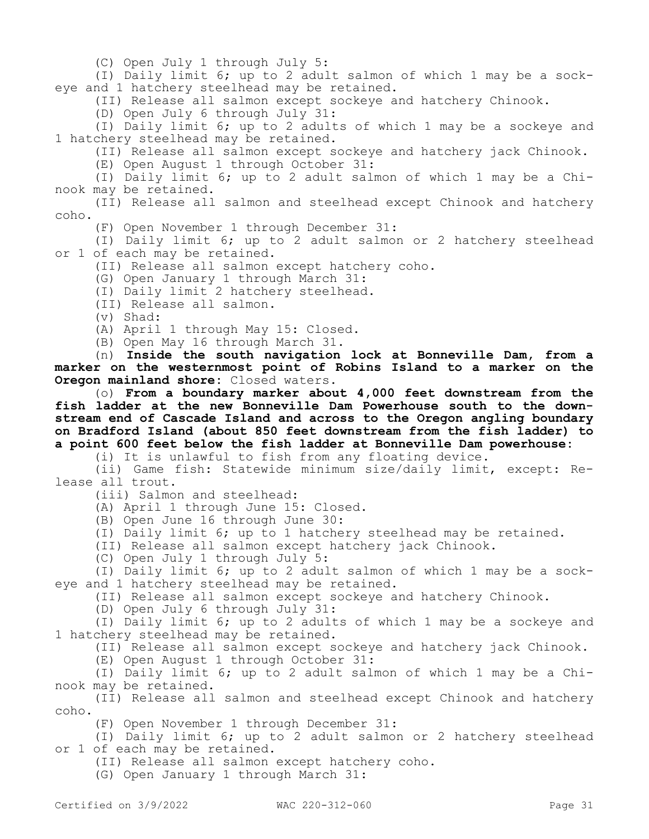(C) Open July 1 through July 5:

(I) Daily limit 6; up to 2 adult salmon of which 1 may be a sockeye and 1 hatchery steelhead may be retained.

(II) Release all salmon except sockeye and hatchery Chinook.

(D) Open July 6 through July 31:

(I) Daily limit 6; up to 2 adults of which 1 may be a sockeye and 1 hatchery steelhead may be retained.

(II) Release all salmon except sockeye and hatchery jack Chinook.

(E) Open August 1 through October 31:

(I) Daily limit 6; up to 2 adult salmon of which 1 may be a Chinook may be retained.

(II) Release all salmon and steelhead except Chinook and hatchery coho.

(F) Open November 1 through December 31:

(I) Daily limit 6; up to 2 adult salmon or 2 hatchery steelhead or 1 of each may be retained.

(II) Release all salmon except hatchery coho.

(G) Open January 1 through March 31:

(I) Daily limit 2 hatchery steelhead.

(II) Release all salmon.

(v) Shad:

(A) April 1 through May 15: Closed.

(B) Open May 16 through March 31.

(n) **Inside the south navigation lock at Bonneville Dam, from a marker on the westernmost point of Robins Island to a marker on the Oregon mainland shore:** Closed waters.

(o) **From a boundary marker about 4,000 feet downstream from the fish ladder at the new Bonneville Dam Powerhouse south to the downstream end of Cascade Island and across to the Oregon angling boundary on Bradford Island (about 850 feet downstream from the fish ladder) to a point 600 feet below the fish ladder at Bonneville Dam powerhouse:**

(i) It is unlawful to fish from any floating device.

(ii) Game fish: Statewide minimum size/daily limit, except: Release all trout.

(iii) Salmon and steelhead:

(A) April 1 through June 15: Closed.

(B) Open June 16 through June 30:

(I) Daily limit 6; up to 1 hatchery steelhead may be retained.

(II) Release all salmon except hatchery jack Chinook.

(C) Open July 1 through July 5:

(I) Daily limit 6; up to 2 adult salmon of which 1 may be a sockeye and 1 hatchery steelhead may be retained.

(II) Release all salmon except sockeye and hatchery Chinook.

(D) Open July 6 through July 31:

(I) Daily limit 6; up to 2 adults of which 1 may be a sockeye and 1 hatchery steelhead may be retained.

(II) Release all salmon except sockeye and hatchery jack Chinook.

(E) Open August 1 through October 31:

(I) Daily limit 6; up to 2 adult salmon of which 1 may be a Chinook may be retained.

(II) Release all salmon and steelhead except Chinook and hatchery coho.

(F) Open November 1 through December 31:

(I) Daily limit 6; up to 2 adult salmon or 2 hatchery steelhead or 1 of each may be retained.

(II) Release all salmon except hatchery coho.

(G) Open January 1 through March 31: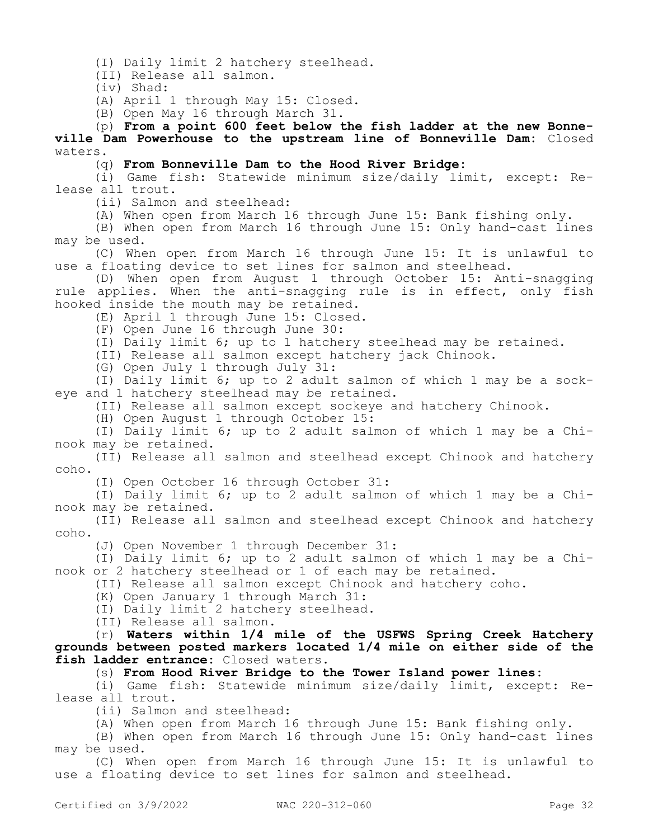(I) Daily limit 2 hatchery steelhead.

(II) Release all salmon.

(iv) Shad:

(A) April 1 through May 15: Closed.

(B) Open May 16 through March 31.

(p) **From a point 600 feet below the fish ladder at the new Bonneville Dam Powerhouse to the upstream line of Bonneville Dam:** Closed waters.

(q) **From Bonneville Dam to the Hood River Bridge:**

(i) Game fish: Statewide minimum size/daily limit, except: Release all trout.

(ii) Salmon and steelhead:

(A) When open from March 16 through June 15: Bank fishing only.

(B) When open from March 16 through June 15: Only hand-cast lines may be used.

(C) When open from March 16 through June 15: It is unlawful to use a floating device to set lines for salmon and steelhead.

(D) When open from August 1 through October 15: Anti-snagging rule applies. When the anti-snagging rule is in effect, only fish hooked inside the mouth may be retained.

(E) April 1 through June 15: Closed.

(F) Open June 16 through June 30:

(I) Daily limit 6; up to 1 hatchery steelhead may be retained.

(II) Release all salmon except hatchery jack Chinook.

(G) Open July 1 through July 31:

(I) Daily limit 6; up to 2 adult salmon of which 1 may be a sockeye and 1 hatchery steelhead may be retained.

(II) Release all salmon except sockeye and hatchery Chinook.

(H) Open August 1 through October 15:

(I) Daily limit 6; up to 2 adult salmon of which 1 may be a Chinook may be retained.

(II) Release all salmon and steelhead except Chinook and hatchery coho.

(I) Open October 16 through October 31:

(I) Daily limit 6; up to 2 adult salmon of which 1 may be a Chinook may be retained.

(II) Release all salmon and steelhead except Chinook and hatchery coho.

(J) Open November 1 through December 31:

(I) Daily limit 6; up to 2 adult salmon of which 1 may be a Chinook or 2 hatchery steelhead or 1 of each may be retained.

(II) Release all salmon except Chinook and hatchery coho.

(K) Open January 1 through March 31:

(I) Daily limit 2 hatchery steelhead.

(II) Release all salmon.

(r) **Waters within 1/4 mile of the USFWS Spring Creek Hatchery grounds between posted markers located 1/4 mile on either side of the fish ladder entrance:** Closed waters.

(s) **From Hood River Bridge to the Tower Island power lines:**

(i) Game fish: Statewide minimum size/daily limit, except: Release all trout.

(ii) Salmon and steelhead:

(A) When open from March 16 through June 15: Bank fishing only.

(B) When open from March 16 through June 15: Only hand-cast lines may be used.

(C) When open from March 16 through June 15: It is unlawful to use a floating device to set lines for salmon and steelhead.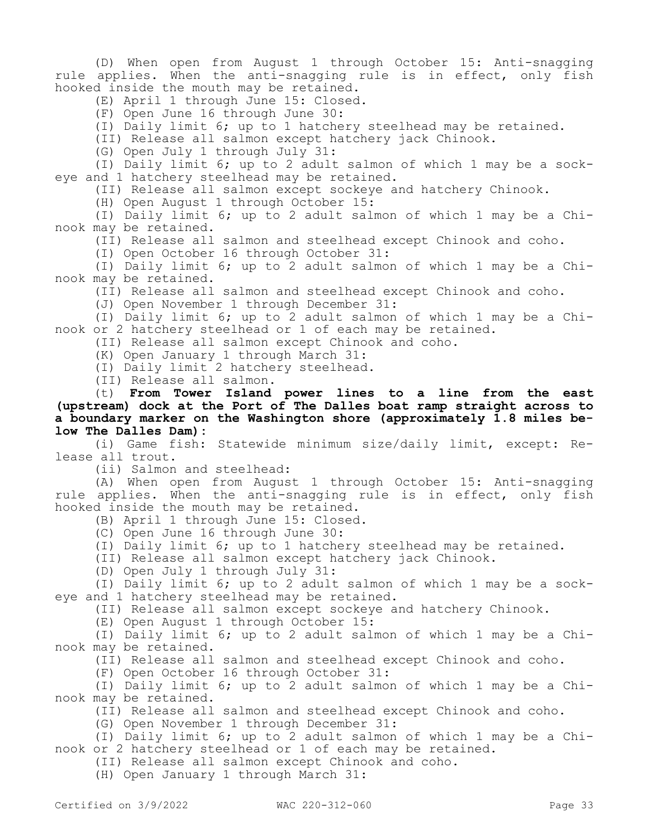(D) When open from August 1 through October 15: Anti-snagging rule applies. When the anti-snagging rule is in effect, only fish hooked inside the mouth may be retained.

(E) April 1 through June 15: Closed.

(F) Open June 16 through June 30:

(I) Daily limit 6; up to 1 hatchery steelhead may be retained.

(II) Release all salmon except hatchery jack Chinook.

(G) Open July 1 through July 31:

(I) Daily limit 6; up to 2 adult salmon of which 1 may be a sockeye and 1 hatchery steelhead may be retained.

(II) Release all salmon except sockeye and hatchery Chinook.

(H) Open August 1 through October 15:

(I) Daily limit 6; up to 2 adult salmon of which 1 may be a Chinook may be retained.

(II) Release all salmon and steelhead except Chinook and coho.

(I) Open October 16 through October 31:

(I) Daily limit 6; up to 2 adult salmon of which 1 may be a Chinook may be retained.

(II) Release all salmon and steelhead except Chinook and coho.

(J) Open November 1 through December 31:

(I) Daily limit 6; up to 2 adult salmon of which 1 may be a Chinook or 2 hatchery steelhead or 1 of each may be retained.

(II) Release all salmon except Chinook and coho.

(K) Open January 1 through March 31:

(I) Daily limit 2 hatchery steelhead.

(II) Release all salmon.

(t) **From Tower Island power lines to a line from the east (upstream) dock at the Port of The Dalles boat ramp straight across to a boundary marker on the Washington shore (approximately 1.8 miles below The Dalles Dam):**

(i) Game fish: Statewide minimum size/daily limit, except: Release all trout.

(ii) Salmon and steelhead:

(A) When open from August 1 through October 15: Anti-snagging rule applies. When the anti-snagging rule is in effect, only fish hooked inside the mouth may be retained.

(B) April 1 through June 15: Closed.

(C) Open June 16 through June 30:

(I) Daily limit 6; up to 1 hatchery steelhead may be retained.

(II) Release all salmon except hatchery jack Chinook.

(D) Open July 1 through July 31:

(I) Daily limit 6; up to 2 adult salmon of which 1 may be a sockeye and 1 hatchery steelhead may be retained.

(II) Release all salmon except sockeye and hatchery Chinook.

(E) Open August 1 through October 15:

(I) Daily limit 6; up to 2 adult salmon of which 1 may be a Chinook may be retained.

(II) Release all salmon and steelhead except Chinook and coho.

(F) Open October 16 through October 31:

(I) Daily limit 6; up to 2 adult salmon of which 1 may be a Chinook may be retained.

(II) Release all salmon and steelhead except Chinook and coho.

(G) Open November 1 through December 31:

(I) Daily limit 6; up to 2 adult salmon of which 1 may be a Chinook or 2 hatchery steelhead or 1 of each may be retained.

(II) Release all salmon except Chinook and coho.

(H) Open January 1 through March 31: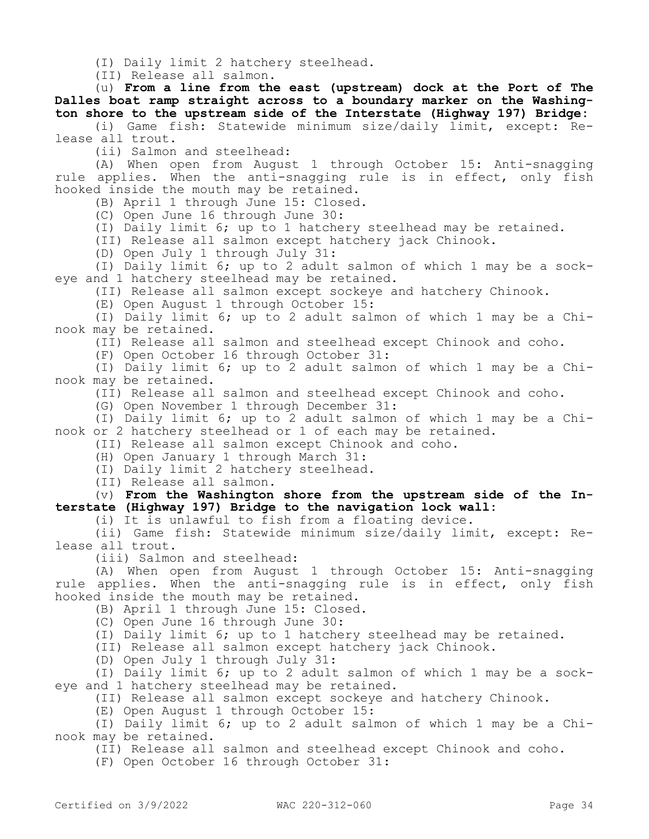(I) Daily limit 2 hatchery steelhead.

(II) Release all salmon.

(u) **From a line from the east (upstream) dock at the Port of The Dalles boat ramp straight across to a boundary marker on the Washington shore to the upstream side of the Interstate (Highway 197) Bridge:**

(i) Game fish: Statewide minimum size/daily limit, except: Release all trout.

(ii) Salmon and steelhead:

(A) When open from August 1 through October 15: Anti-snagging rule applies. When the anti-snagging rule is in effect, only fish hooked inside the mouth may be retained.

(B) April 1 through June 15: Closed.

(C) Open June 16 through June 30:

(I) Daily limit 6; up to 1 hatchery steelhead may be retained.

(II) Release all salmon except hatchery jack Chinook.

(D) Open July 1 through July 31:

(I) Daily limit 6; up to 2 adult salmon of which 1 may be a sockeye and 1 hatchery steelhead may be retained.

(II) Release all salmon except sockeye and hatchery Chinook.

(E) Open August 1 through October 15:

(I) Daily limit 6; up to 2 adult salmon of which 1 may be a Chinook may be retained.

(II) Release all salmon and steelhead except Chinook and coho.

(F) Open October 16 through October 31:

(I) Daily limit 6; up to 2 adult salmon of which 1 may be a Chinook may be retained.

(II) Release all salmon and steelhead except Chinook and coho.

(G) Open November 1 through December 31:

(I) Daily limit 6; up to 2 adult salmon of which 1 may be a Chinook or 2 hatchery steelhead or 1 of each may be retained.

(II) Release all salmon except Chinook and coho.

(H) Open January 1 through March 31:

(I) Daily limit 2 hatchery steelhead.

(II) Release all salmon.

(v) **From the Washington shore from the upstream side of the Interstate (Highway 197) Bridge to the navigation lock wall:**

(i) It is unlawful to fish from a floating device.

(ii) Game fish: Statewide minimum size/daily limit, except: Release all trout.

(iii) Salmon and steelhead:

(A) When open from August 1 through October 15: Anti-snagging rule applies. When the anti-snagging rule is in effect, only fish hooked inside the mouth may be retained.

(B) April 1 through June 15: Closed.

(C) Open June 16 through June 30:

(I) Daily limit 6; up to 1 hatchery steelhead may be retained.

(II) Release all salmon except hatchery jack Chinook.

(D) Open July 1 through July 31:

(I) Daily limit 6; up to 2 adult salmon of which 1 may be a sockeye and 1 hatchery steelhead may be retained.

(II) Release all salmon except sockeye and hatchery Chinook.

(E) Open August 1 through October 15:

(I) Daily limit 6; up to 2 adult salmon of which 1 may be a Chinook may be retained.

(II) Release all salmon and steelhead except Chinook and coho.

(F) Open October 16 through October 31: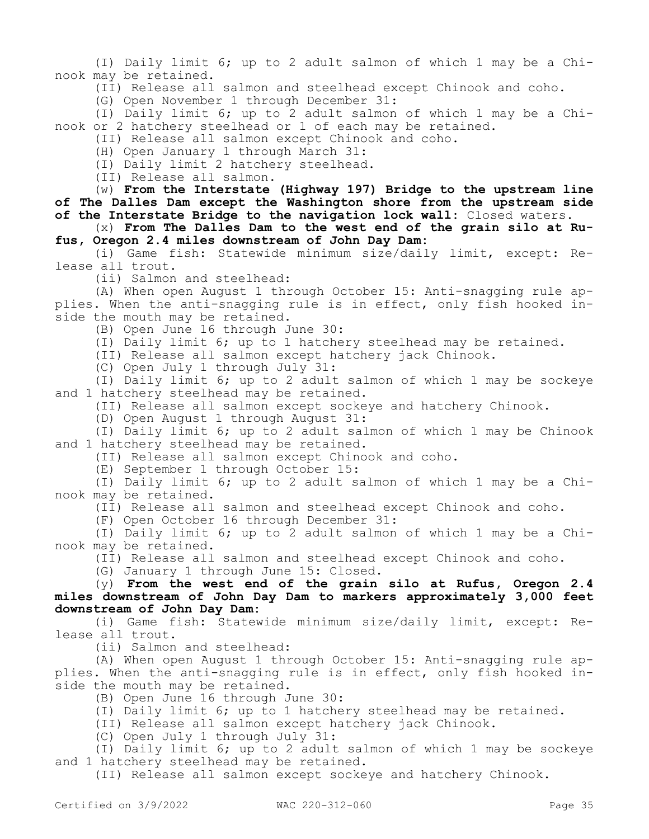(I) Daily limit 6; up to 2 adult salmon of which 1 may be a Chinook may be retained.

(II) Release all salmon and steelhead except Chinook and coho.

(G) Open November 1 through December 31:

(I) Daily limit 6; up to 2 adult salmon of which 1 may be a Chinook or 2 hatchery steelhead or 1 of each may be retained.

(II) Release all salmon except Chinook and coho.

(H) Open January 1 through March 31:

(I) Daily limit 2 hatchery steelhead.

(II) Release all salmon.

(w) **From the Interstate (Highway 197) Bridge to the upstream line of The Dalles Dam except the Washington shore from the upstream side of the Interstate Bridge to the navigation lock wall:** Closed waters.

(x) **From The Dalles Dam to the west end of the grain silo at Rufus, Oregon 2.4 miles downstream of John Day Dam:**

(i) Game fish: Statewide minimum size/daily limit, except: Release all trout.

(ii) Salmon and steelhead:

(A) When open August 1 through October 15: Anti-snagging rule applies. When the anti-snagging rule is in effect, only fish hooked inside the mouth may be retained.

(B) Open June 16 through June 30:

(I) Daily limit 6; up to 1 hatchery steelhead may be retained.

(II) Release all salmon except hatchery jack Chinook.

(C) Open July 1 through July 31:

(I) Daily limit 6; up to 2 adult salmon of which 1 may be sockeye and 1 hatchery steelhead may be retained.

(II) Release all salmon except sockeye and hatchery Chinook.

(D) Open August 1 through August 31:

(I) Daily limit 6; up to 2 adult salmon of which 1 may be Chinook and 1 hatchery steelhead may be retained.

(II) Release all salmon except Chinook and coho.

(E) September 1 through October 15:

(I) Daily limit 6; up to 2 adult salmon of which 1 may be a Chinook may be retained.

(II) Release all salmon and steelhead except Chinook and coho.

(F) Open October 16 through December 31:

(I) Daily limit 6; up to 2 adult salmon of which 1 may be a Chinook may be retained.

(II) Release all salmon and steelhead except Chinook and coho.

(G) January 1 through June 15: Closed.

(y) **From the west end of the grain silo at Rufus, Oregon 2.4 miles downstream of John Day Dam to markers approximately 3,000 feet downstream of John Day Dam:**

(i) Game fish: Statewide minimum size/daily limit, except: Release all trout.

(ii) Salmon and steelhead:

(A) When open August 1 through October 15: Anti-snagging rule applies. When the anti-snagging rule is in effect, only fish hooked inside the mouth may be retained.

(B) Open June 16 through June 30:

(I) Daily limit 6; up to 1 hatchery steelhead may be retained.

(II) Release all salmon except hatchery jack Chinook.

(C) Open July 1 through July 31:

(I) Daily limit 6; up to 2 adult salmon of which 1 may be sockeye and 1 hatchery steelhead may be retained.

(II) Release all salmon except sockeye and hatchery Chinook.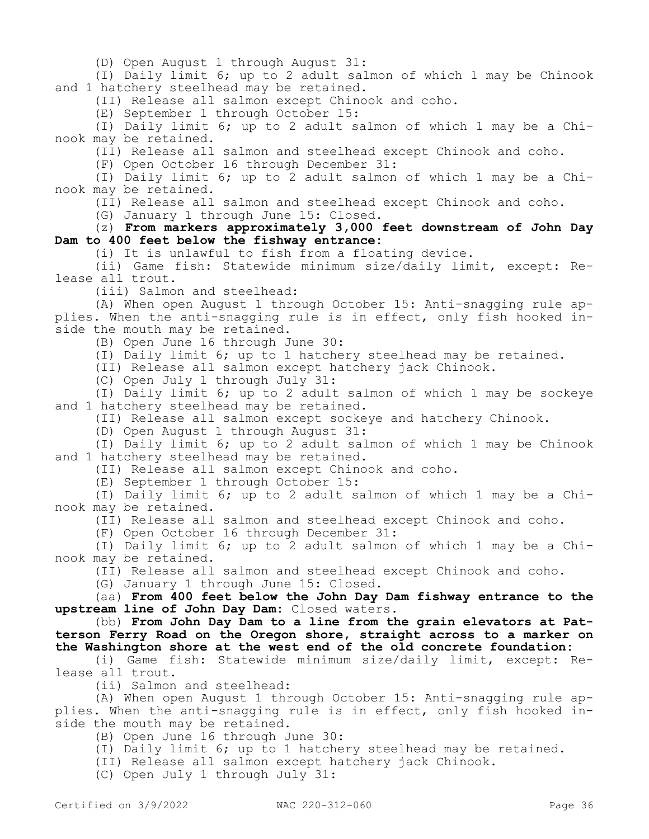(D) Open August 1 through August 31:

(I) Daily limit 6; up to 2 adult salmon of which 1 may be Chinook and 1 hatchery steelhead may be retained.

(II) Release all salmon except Chinook and coho.

(E) September 1 through October 15:

(I) Daily limit 6; up to 2 adult salmon of which 1 may be a Chinook may be retained.

(II) Release all salmon and steelhead except Chinook and coho.

(F) Open October 16 through December 31:

(I) Daily limit 6; up to 2 adult salmon of which 1 may be a Chinook may be retained.

(II) Release all salmon and steelhead except Chinook and coho.

(G) January 1 through June 15: Closed.

(z) **From markers approximately 3,000 feet downstream of John Day Dam to 400 feet below the fishway entrance:**

(i) It is unlawful to fish from a floating device.

(ii) Game fish: Statewide minimum size/daily limit, except: Release all trout.

(iii) Salmon and steelhead:

(A) When open August 1 through October 15: Anti-snagging rule applies. When the anti-snagging rule is in effect, only fish hooked inside the mouth may be retained.

(B) Open June 16 through June 30:

(I) Daily limit 6; up to 1 hatchery steelhead may be retained.

(II) Release all salmon except hatchery jack Chinook.

(C) Open July 1 through July 31:

(I) Daily limit 6; up to 2 adult salmon of which 1 may be sockeye and 1 hatchery steelhead may be retained.

(II) Release all salmon except sockeye and hatchery Chinook.

(D) Open August 1 through August 31:

(I) Daily limit 6; up to 2 adult salmon of which 1 may be Chinook and 1 hatchery steelhead may be retained.

(II) Release all salmon except Chinook and coho.

(E) September 1 through October 15:

(I) Daily limit 6; up to 2 adult salmon of which 1 may be a Chinook may be retained.

(II) Release all salmon and steelhead except Chinook and coho.

(F) Open October 16 through December 31:

(I) Daily limit 6; up to 2 adult salmon of which 1 may be a Chinook may be retained.

(II) Release all salmon and steelhead except Chinook and coho.

(G) January 1 through June 15: Closed.

(aa) **From 400 feet below the John Day Dam fishway entrance to the upstream line of John Day Dam:** Closed waters.

(bb) **From John Day Dam to a line from the grain elevators at Patterson Ferry Road on the Oregon shore, straight across to a marker on the Washington shore at the west end of the old concrete foundation:**

(i) Game fish: Statewide minimum size/daily limit, except: Release all trout.

(ii) Salmon and steelhead:

(A) When open August 1 through October 15: Anti-snagging rule applies. When the anti-snagging rule is in effect, only fish hooked inside the mouth may be retained.

(B) Open June 16 through June 30:

(I) Daily limit 6; up to 1 hatchery steelhead may be retained.

(II) Release all salmon except hatchery jack Chinook.

(C) Open July 1 through July 31: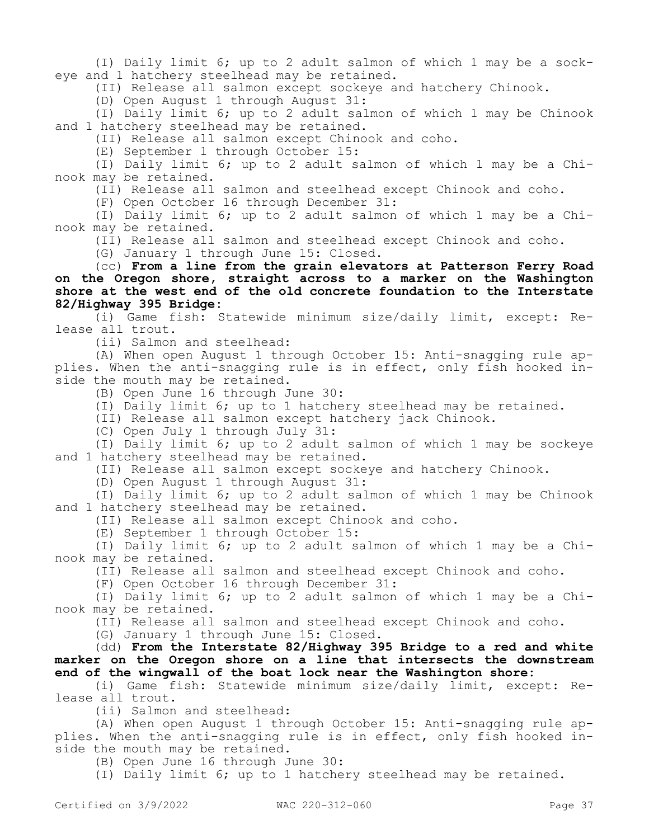(I) Daily limit 6; up to 2 adult salmon of which 1 may be a sockeye and 1 hatchery steelhead may be retained.

(II) Release all salmon except sockeye and hatchery Chinook.

(D) Open August 1 through August 31:

(I) Daily limit 6; up to 2 adult salmon of which 1 may be Chinook and 1 hatchery steelhead may be retained.

(II) Release all salmon except Chinook and coho.

(E) September 1 through October 15:

(I) Daily limit 6; up to 2 adult salmon of which 1 may be a Chinook may be retained.

(II) Release all salmon and steelhead except Chinook and coho.

(F) Open October 16 through December 31:

(I) Daily limit 6; up to 2 adult salmon of which 1 may be a Chinook may be retained.

(II) Release all salmon and steelhead except Chinook and coho.

(G) January 1 through June 15: Closed.

(cc) **From a line from the grain elevators at Patterson Ferry Road on the Oregon shore, straight across to a marker on the Washington shore at the west end of the old concrete foundation to the Interstate 82/Highway 395 Bridge:**

(i) Game fish: Statewide minimum size/daily limit, except: Release all trout.

(ii) Salmon and steelhead:

(A) When open August 1 through October 15: Anti-snagging rule applies. When the anti-snagging rule is in effect, only fish hooked inside the mouth may be retained.

(B) Open June 16 through June 30:

(I) Daily limit 6; up to 1 hatchery steelhead may be retained.

(II) Release all salmon except hatchery jack Chinook.

(C) Open July 1 through July 31:

(I) Daily limit 6; up to 2 adult salmon of which 1 may be sockeye and 1 hatchery steelhead may be retained.

(II) Release all salmon except sockeye and hatchery Chinook.

(D) Open August 1 through August 31:

(I) Daily limit 6; up to 2 adult salmon of which 1 may be Chinook and 1 hatchery steelhead may be retained.

(II) Release all salmon except Chinook and coho.

(E) September 1 through October 15:

(I) Daily limit 6; up to 2 adult salmon of which 1 may be a Chinook may be retained.

(II) Release all salmon and steelhead except Chinook and coho.

(F) Open October 16 through December 31:

(I) Daily limit 6; up to 2 adult salmon of which 1 may be a Chinook may be retained.

(II) Release all salmon and steelhead except Chinook and coho.

(G) January 1 through June 15: Closed.

(dd) **From the Interstate 82/Highway 395 Bridge to a red and white marker on the Oregon shore on a line that intersects the downstream end of the wingwall of the boat lock near the Washington shore:**

(i) Game fish: Statewide minimum size/daily limit, except: Release all trout.

(ii) Salmon and steelhead:

(A) When open August 1 through October 15: Anti-snagging rule applies. When the anti-snagging rule is in effect, only fish hooked inside the mouth may be retained.

(B) Open June 16 through June 30:

(I) Daily limit 6; up to 1 hatchery steelhead may be retained.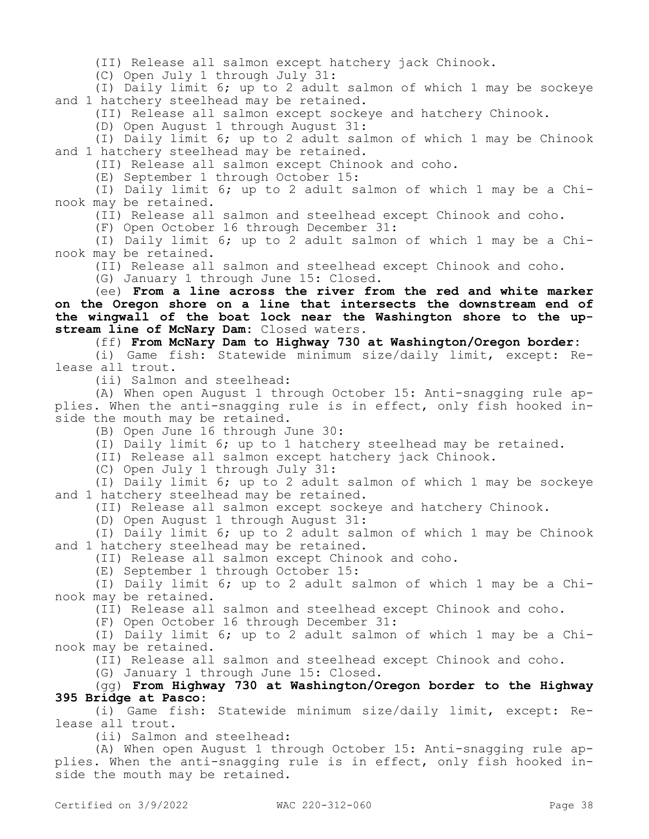(II) Release all salmon except hatchery jack Chinook.

(C) Open July 1 through July 31:

(I) Daily limit 6; up to 2 adult salmon of which 1 may be sockeye and 1 hatchery steelhead may be retained.

(II) Release all salmon except sockeye and hatchery Chinook.

(D) Open August 1 through August 31:

(I) Daily limit 6; up to 2 adult salmon of which 1 may be Chinook and 1 hatchery steelhead may be retained.

(II) Release all salmon except Chinook and coho.

(E) September 1 through October 15:

(I) Daily limit 6; up to 2 adult salmon of which 1 may be a Chinook may be retained.

(II) Release all salmon and steelhead except Chinook and coho.

(F) Open October 16 through December 31:

(I) Daily limit 6; up to 2 adult salmon of which 1 may be a Chinook may be retained.

(II) Release all salmon and steelhead except Chinook and coho.

(G) January 1 through June 15: Closed.

(ee) **From a line across the river from the red and white marker on the Oregon shore on a line that intersects the downstream end of the wingwall of the boat lock near the Washington shore to the upstream line of McNary Dam:** Closed waters.

(ff) **From McNary Dam to Highway 730 at Washington/Oregon border:**

(i) Game fish: Statewide minimum size/daily limit, except: Release all trout.

(ii) Salmon and steelhead:

(A) When open August 1 through October 15: Anti-snagging rule applies. When the anti-snagging rule is in effect, only fish hooked inside the mouth may be retained.

(B) Open June 16 through June 30:

(I) Daily limit 6; up to 1 hatchery steelhead may be retained.

(II) Release all salmon except hatchery jack Chinook.

(C) Open July 1 through July 31:

(I) Daily limit 6; up to 2 adult salmon of which 1 may be sockeye and 1 hatchery steelhead may be retained.

(II) Release all salmon except sockeye and hatchery Chinook.

(D) Open August 1 through August 31:

(I) Daily limit 6; up to 2 adult salmon of which 1 may be Chinook and 1 hatchery steelhead may be retained.

(II) Release all salmon except Chinook and coho.

(E) September 1 through October 15:

(I) Daily limit 6; up to 2 adult salmon of which 1 may be a Chinook may be retained.

(II) Release all salmon and steelhead except Chinook and coho.

(F) Open October 16 through December 31:

(I) Daily limit 6; up to 2 adult salmon of which 1 may be a Chinook may be retained.

(II) Release all salmon and steelhead except Chinook and coho.

(G) January 1 through June 15: Closed.

# (gg) **From Highway 730 at Washington/Oregon border to the Highway 395 Bridge at Pasco**:

(i) Game fish: Statewide minimum size/daily limit, except: Release all trout.

(ii) Salmon and steelhead:

(A) When open August 1 through October 15: Anti-snagging rule applies. When the anti-snagging rule is in effect, only fish hooked inside the mouth may be retained.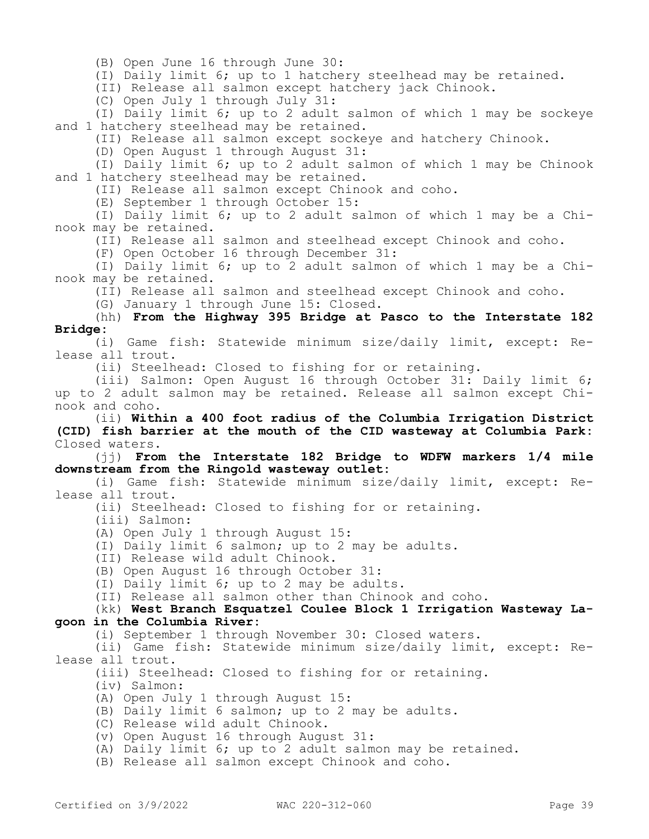(B) Open June 16 through June 30:

(I) Daily limit 6; up to 1 hatchery steelhead may be retained.

(II) Release all salmon except hatchery jack Chinook.

(C) Open July 1 through July 31:

(I) Daily limit 6; up to 2 adult salmon of which 1 may be sockeye and 1 hatchery steelhead may be retained.

(II) Release all salmon except sockeye and hatchery Chinook.

(D) Open August 1 through August 31:

(I) Daily limit 6; up to 2 adult salmon of which 1 may be Chinook and 1 hatchery steelhead may be retained.

(II) Release all salmon except Chinook and coho.

(E) September 1 through October 15:

(I) Daily limit 6; up to 2 adult salmon of which 1 may be a Chinook may be retained.

(II) Release all salmon and steelhead except Chinook and coho.

(F) Open October 16 through December 31:

(I) Daily limit 6; up to 2 adult salmon of which 1 may be a Chinook may be retained.

(II) Release all salmon and steelhead except Chinook and coho.

(G) January 1 through June 15: Closed.

### (hh) **From the Highway 395 Bridge at Pasco to the Interstate 182 Bridge:**

(i) Game fish: Statewide minimum size/daily limit, except: Release all trout.

(ii) Steelhead: Closed to fishing for or retaining.

(iii) Salmon: Open August 16 through October 31: Daily limit 6; up to 2 adult salmon may be retained. Release all salmon except Chinook and coho.

(ii) **Within a 400 foot radius of the Columbia Irrigation District (CID) fish barrier at the mouth of the CID wasteway at Columbia Park:**  Closed waters.

(jj) **From the Interstate 182 Bridge to WDFW markers 1/4 mile downstream from the Ringold wasteway outlet:**

(i) Game fish: Statewide minimum size/daily limit, except: Release all trout.

(ii) Steelhead: Closed to fishing for or retaining.

(iii) Salmon:

(A) Open July 1 through August 15:

- (I) Daily limit 6 salmon; up to 2 may be adults.
- (II) Release wild adult Chinook.

(B) Open August 16 through October 31:

(I) Daily limit 6; up to 2 may be adults.

(II) Release all salmon other than Chinook and coho.

### (kk) **West Branch Esquatzel Coulee Block 1 Irrigation Wasteway Lagoon in the Columbia River:**

(i) September 1 through November 30: Closed waters.

(ii) Game fish: Statewide minimum size/daily limit, except: Release all trout.

(iii) Steelhead: Closed to fishing for or retaining.

(iv) Salmon:

(A) Open July 1 through August 15:

- (B) Daily limit 6 salmon; up to 2 may be adults.
- (C) Release wild adult Chinook.
- (v) Open August 16 through August 31:

(A) Daily limit 6; up to 2 adult salmon may be retained.

(B) Release all salmon except Chinook and coho.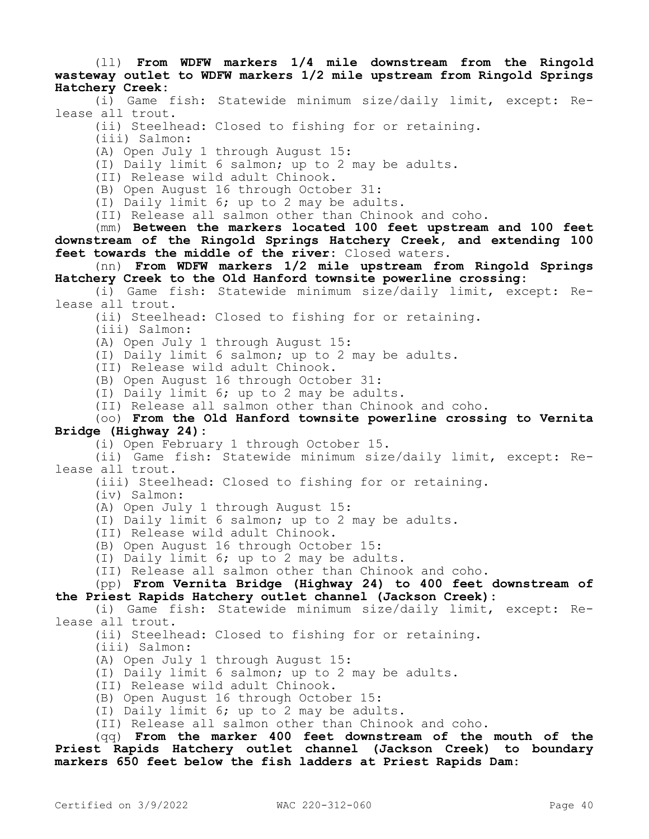(ll) **From WDFW markers 1/4 mile downstream from the Ringold wasteway outlet to WDFW markers 1/2 mile upstream from Ringold Springs Hatchery Creek:**

(i) Game fish: Statewide minimum size/daily limit, except: Release all trout.

(ii) Steelhead: Closed to fishing for or retaining.

(iii) Salmon:

(A) Open July 1 through August 15:

(I) Daily limit 6 salmon; up to 2 may be adults.

(II) Release wild adult Chinook.

(B) Open August 16 through October 31:

(I) Daily limit 6; up to 2 may be adults.

(II) Release all salmon other than Chinook and coho.

(mm) **Between the markers located 100 feet upstream and 100 feet downstream of the Ringold Springs Hatchery Creek, and extending 100 feet towards the middle of the river:** Closed waters.

(nn) **From WDFW markers 1/2 mile upstream from Ringold Springs Hatchery Creek to the Old Hanford townsite powerline crossing:**

(i) Game fish: Statewide minimum size/daily limit, except: Release all trout.

(ii) Steelhead: Closed to fishing for or retaining.

(iii) Salmon:

(A) Open July 1 through August 15:

(I) Daily limit 6 salmon; up to 2 may be adults.

(II) Release wild adult Chinook.

(B) Open August 16 through October 31:

(I) Daily limit 6; up to 2 may be adults.

(II) Release all salmon other than Chinook and coho.

(oo) **From the Old Hanford townsite powerline crossing to Vernita Bridge (Highway 24):**

(i) Open February 1 through October 15.

(ii) Game fish: Statewide minimum size/daily limit, except: Release all trout.

(iii) Steelhead: Closed to fishing for or retaining.

(iv) Salmon:

(A) Open July 1 through August 15:

(I) Daily limit 6 salmon; up to 2 may be adults.

(II) Release wild adult Chinook.

(B) Open August 16 through October 15:

(I) Daily limit 6; up to 2 may be adults.

(II) Release all salmon other than Chinook and coho.

(pp) **From Vernita Bridge (Highway 24) to 400 feet downstream of the Priest Rapids Hatchery outlet channel (Jackson Creek):**

(i) Game fish: Statewide minimum size/daily limit, except: Release all trout.

(ii) Steelhead: Closed to fishing for or retaining.

(iii) Salmon:

(A) Open July 1 through August 15:

(I) Daily limit 6 salmon; up to 2 may be adults.

(II) Release wild adult Chinook.

(B) Open August 16 through October 15:

(I) Daily limit 6; up to 2 may be adults.

(II) Release all salmon other than Chinook and coho.

(qq) **From the marker 400 feet downstream of the mouth of the Priest Rapids Hatchery outlet channel (Jackson Creek) to boundary markers 650 feet below the fish ladders at Priest Rapids Dam:**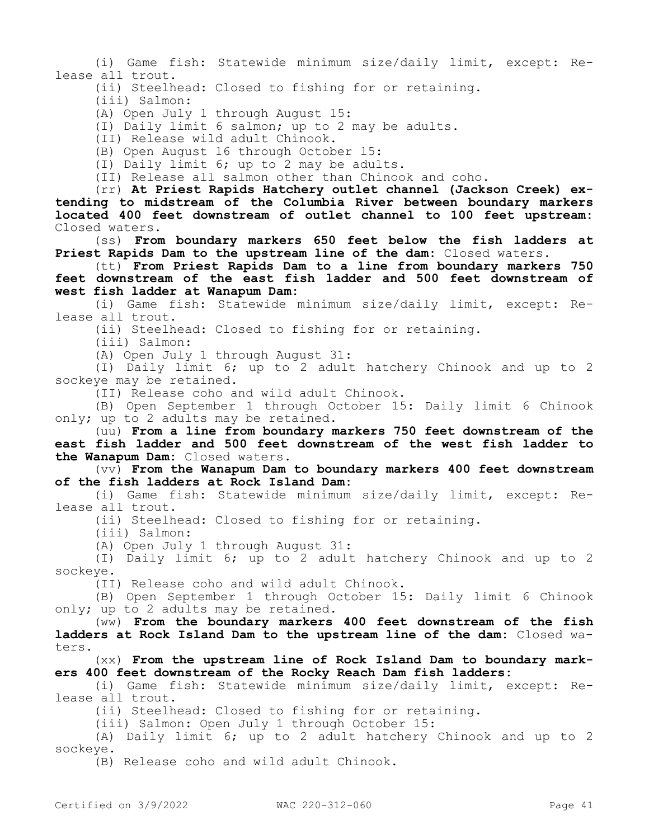(i) Game fish: Statewide minimum size/daily limit, except: Release all trout.

(ii) Steelhead: Closed to fishing for or retaining.

(iii) Salmon:

(A) Open July 1 through August 15:

(I) Daily limit 6 salmon; up to 2 may be adults.

(II) Release wild adult Chinook.

(B) Open August 16 through October 15:

(I) Daily limit 6; up to 2 may be adults.

(II) Release all salmon other than Chinook and coho.

(rr) **At Priest Rapids Hatchery outlet channel (Jackson Creek) extending to midstream of the Columbia River between boundary markers located 400 feet downstream of outlet channel to 100 feet upstream:**  Closed waters.

(ss) **From boundary markers 650 feet below the fish ladders at Priest Rapids Dam to the upstream line of the dam:** Closed waters.

(tt) **From Priest Rapids Dam to a line from boundary markers 750 feet downstream of the east fish ladder and 500 feet downstream of west fish ladder at Wanapum Dam:**

(i) Game fish: Statewide minimum size/daily limit, except: Release all trout.

(ii) Steelhead: Closed to fishing for or retaining.

(iii) Salmon:

(A) Open July 1 through August 31:

(I) Daily limit 6; up to 2 adult hatchery Chinook and up to 2 sockeye may be retained.

(II) Release coho and wild adult Chinook.

(B) Open September 1 through October 15: Daily limit 6 Chinook only; up to 2 adults may be retained.

(uu) **From a line from boundary markers 750 feet downstream of the east fish ladder and 500 feet downstream of the west fish ladder to the Wanapum Dam:** Closed waters.

(vv) **From the Wanapum Dam to boundary markers 400 feet downstream of the fish ladders at Rock Island Dam:**

(i) Game fish: Statewide minimum size/daily limit, except: Release all trout.

(ii) Steelhead: Closed to fishing for or retaining.

(iii) Salmon:

(A) Open July 1 through August 31:

(I) Daily limit 6; up to 2 adult hatchery Chinook and up to 2 sockeye.

(II) Release coho and wild adult Chinook.

(B) Open September 1 through October 15: Daily limit 6 Chinook only; up to 2 adults may be retained.

(ww) **From the boundary markers 400 feet downstream of the fish ladders at Rock Island Dam to the upstream line of the dam:** Closed waters.

(xx) **From the upstream line of Rock Island Dam to boundary markers 400 feet downstream of the Rocky Reach Dam fish ladders:**

(i) Game fish: Statewide minimum size/daily limit, except: Release all trout.

(ii) Steelhead: Closed to fishing for or retaining.

(iii) Salmon: Open July 1 through October 15:

(A) Daily limit 6; up to 2 adult hatchery Chinook and up to 2 sockeye.

(B) Release coho and wild adult Chinook.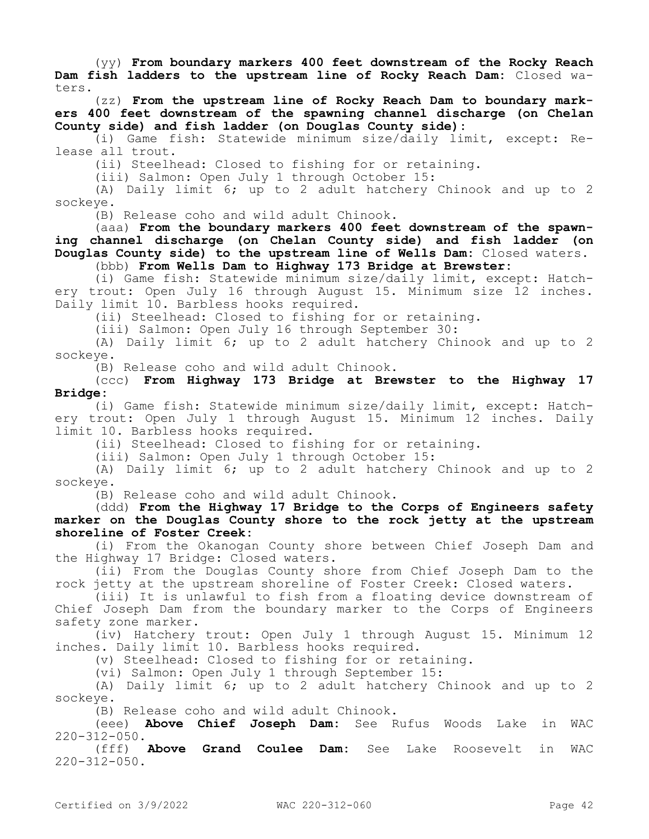(yy) **From boundary markers 400 feet downstream of the Rocky Reach Dam fish ladders to the upstream line of Rocky Reach Dam:** Closed waters.

(zz) **From the upstream line of Rocky Reach Dam to boundary markers 400 feet downstream of the spawning channel discharge (on Chelan County side) and fish ladder (on Douglas County side):**

(i) Game fish: Statewide minimum size/daily limit, except: Release all trout.

(ii) Steelhead: Closed to fishing for or retaining.

(iii) Salmon: Open July 1 through October 15:

(A) Daily limit 6; up to 2 adult hatchery Chinook and up to 2 sockeye.

(B) Release coho and wild adult Chinook.

(aaa) **From the boundary markers 400 feet downstream of the spawning channel discharge (on Chelan County side) and fish ladder (on Douglas County side) to the upstream line of Wells Dam:** Closed waters. (bbb) **From Wells Dam to Highway 173 Bridge at Brewster:**

(i) Game fish: Statewide minimum size/daily limit, except: Hatch-

ery trout: Open July 16 through August 15. Minimum size 12 inches. Daily limit 10. Barbless hooks required.

(ii) Steelhead: Closed to fishing for or retaining.

(iii) Salmon: Open July 16 through September 30:

(A) Daily limit 6; up to 2 adult hatchery Chinook and up to 2 sockeye.

(B) Release coho and wild adult Chinook.

(ccc) **From Highway 173 Bridge at Brewster to the Highway 17 Bridge:**

(i) Game fish: Statewide minimum size/daily limit, except: Hatchery trout: Open July 1 through August 15. Minimum 12 inches. Daily limit 10. Barbless hooks required.

(ii) Steelhead: Closed to fishing for or retaining.

(iii) Salmon: Open July 1 through October 15:

(A) Daily limit 6; up to 2 adult hatchery Chinook and up to 2 sockeye.

(B) Release coho and wild adult Chinook.

(ddd) **From the Highway 17 Bridge to the Corps of Engineers safety marker on the Douglas County shore to the rock jetty at the upstream shoreline of Foster Creek:**

(i) From the Okanogan County shore between Chief Joseph Dam and the Highway 17 Bridge: Closed waters.

(ii) From the Douglas County shore from Chief Joseph Dam to the rock jetty at the upstream shoreline of Foster Creek: Closed waters.

(iii) It is unlawful to fish from a floating device downstream of Chief Joseph Dam from the boundary marker to the Corps of Engineers safety zone marker.

(iv) Hatchery trout: Open July 1 through August 15. Minimum 12 inches. Daily limit 10. Barbless hooks required.

(v) Steelhead: Closed to fishing for or retaining.

(vi) Salmon: Open July 1 through September 15:

(A) Daily limit 6; up to 2 adult hatchery Chinook and up to 2 sockeye.

(B) Release coho and wild adult Chinook.

(eee) **Above Chief Joseph Dam:** See Rufus Woods Lake in WAC  $220 - 312 - 050$ .

(fff) **Above Grand Coulee Dam:** See Lake Roosevelt in WAC  $220 - 312 - 050$ .